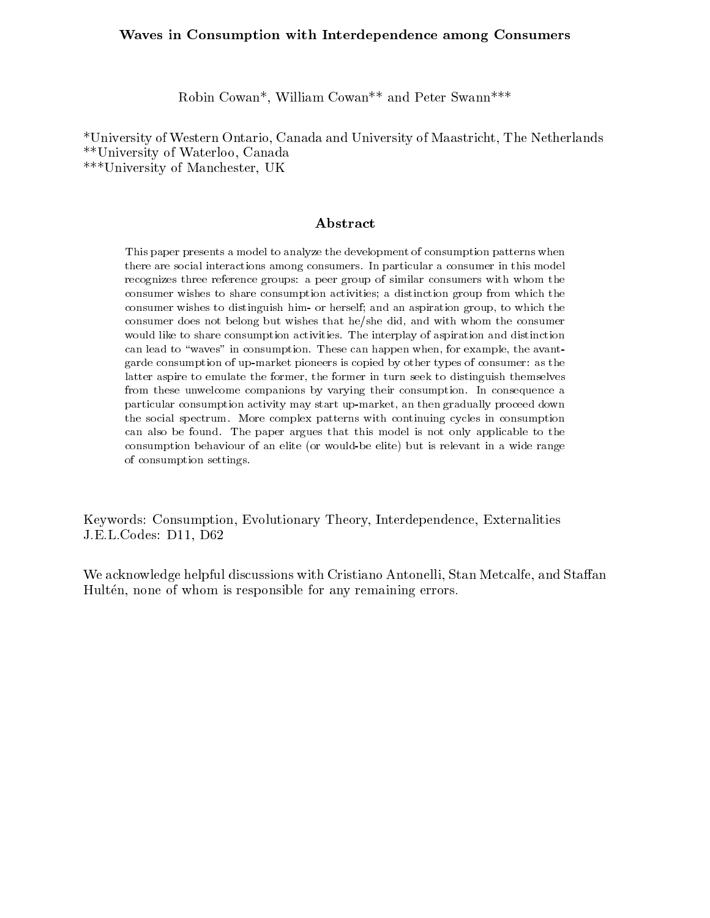# Waves in Consumption with Interdependence among Consumers

Robin Cowan\*, William Cowan\*\* and Peter Swann\*\*\*

\*University of Western Ontario, Canada and University of Maastricht, The Netherlands \*\*University of Waterloo, Canada \*\*\*University of Manchester, UK

### Abstract

This paper presents a model to analyze the development of consumption patterns whenthere are social interactions among consumers. In particular a consumer in this model recognizes three reference groups: <sup>a</sup> peer group of similar consumers with whom the consumer wishes to share consumption activities; <sup>a</sup> distinction group from which the consumer wishes to distinguish him- or herself; and an aspiration group, to which theconsumer does not belong but wishes that he/she did, and with whom the consumerwould like to share consumption activities. The interplay of aspiration and distinction can lead to \waves" in consumption. These can happen when, for example, the avantgarde consumption of up-market pioneers is copied by other types of consumer: as the latter aspire to emulate the former, the former in turn seek to distinguish themselvesfrom these unwelcome companions by varying their consumption. In consequence <sup>a</sup> particular consumption activity may start up-market, an then gradually proceed downthe social spectrum. More complex patterns with continuing cycles in consumption can also be found the paper argues that the model is not only applicable to the this consumption behaviour of an elite (or would-be elite) but is relevant in a wide rangeof consumption settings.

Keywords: Consumption, Evolutionary Theory, Interdependence, Externalities J.E.L.Codes: D11, D62

We acknowledge helpful discussions with Cristiano Antonelli, Stan Metcalfe, and Staffan Hultén, none of whom is responsible for any remaining errors.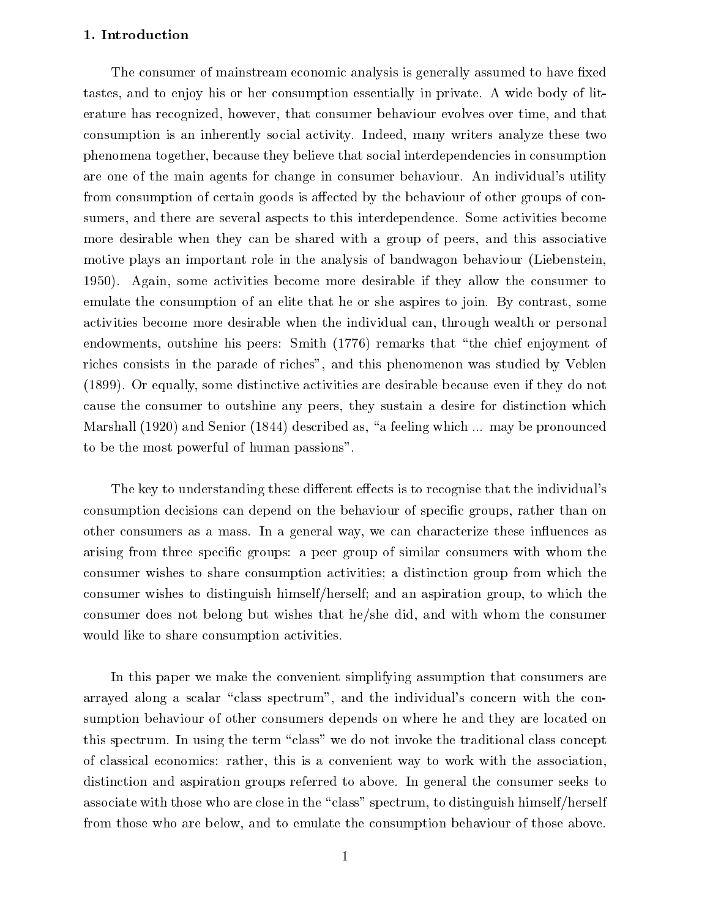## 1. Introduction

The consumer of mainstream economic analysis is generally assumed to have fixed tastes, and to enjoy his or her consumption essentially in private. A wide body of literature has recognized, however, that consumer behaviour evolves over time, and that consumption is an inherently social activity. Indeed, many writers analyze these two phenomena together, because they believe that social interdependencies in consumption are one of the main agents for change in consumer behaviour. An individual's utility from consumption of certain goods is affected by the behaviour of other groups of consumers, and there are several aspects to this interdependence. Some activities become more desirable when they can be shared with a group of peers, and this associative motive plays an important role in the analysis of bandwagon behaviour (Liebenstein, 1950). Again, some activities become more desirable ifthey allow the consumer to emulate the consumption of an elite that he or she aspires to join. By contrast, some activities become more desirable when the individual can, through wealth or personal endowments, outshine his peers: Smith (1776) remarks that "the chief enjoyment of riches consists in the parade of riches", and this phenomenon was studied by Veblen (1899). Or equally, some distinctive activities are desirable because even if they do not cause the consumer to outshine any peers, they sustain a desire for distinction which Marshall (1920) and Senior (1844) described as, "a feeling which ... may be pronounced to be the most powerful of human passions".

The key to understanding these different effects is to recognise that the individual's consumption decisions can depend on the behaviour of specific groups, rather than on other consumers as a mass. In a general way, we can characterize these in
uences as arising from three specic groups: a peer group of similar consumers with whom the consumer wishes to share consumption activities; a distinction group from which the consumer wishes to distinguish himself/herself; and an aspiration group, to which the consumer does not belong but wishes that he/she did, and with whom the consumer would like to share consumption activities.

In this paper we make the convenient simplifying assumption that consumers are arrayed along a scalar "class spectrum", and the individual's concern with the consumption behaviour of other consumers depends on where he and they are located on this spectrum. In using the term "class" we do not invoke the traditional class concept of classical economics: rather, this is a convenient way to work with the association, distinction and aspiration groups referred to above. In general the consumer seeks to associate with those who are close in the "class" spectrum, to distinguish himself/herself from those who are below, and to emulate the consumption behaviour of those above.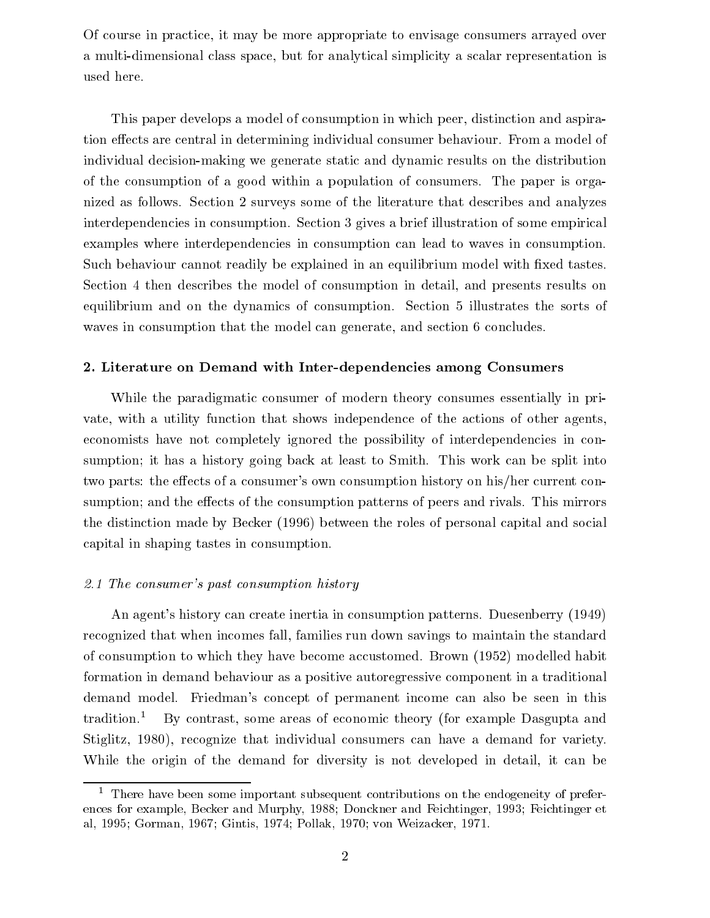Of course in practice, it may be more appropriate to envisage consumers arrayed over a multi-dimensional class space, but for analytical simplicity a scalar representation is used here.

This paper develops a model of consumption in which peer, distinction and aspiration effects are central in determining individual consumer behaviour. From a model of individual decision-making we generate static and dynamic results on the distribution of the consumption of a good within a population of consumers. The paper is organized as follows. Section 2 surveys some of the literature that describes and analyzes interdependencies in consumption. Section 3 gives a brief illustration of some empirical examples where interdependencies in consumption can lead to waves in consumption. Such behaviour cannot readily be explained in an equilibrium model with fixed tastes. Section 4 then describes the model of consumption in detail, and presents results on equilibrium and on the dynamics of consumption. Section 5 illustrates the sorts of waves in consumption that the model can generate, and section 6 concludes.

# 2. Literature on Demand with Inter-dependencies among Consumers

While the paradigmatic consumer of modern theory consumes essentially in private, with a utility function that shows independence of the actions of other agents, economists have not completely ignored the possibility of interdependencies in consumption; it has a history going back at least to Smith. This work can be split into two parts: the effects of a consumer's own consumption history on his/her current consumption; and the effects of the consumption patterns of peers and rivals. This mirrors the distinction made by Becker (1996) between the roles of personal capital and social capital in shaping tastes in consumption.

## 2.1 The consumer's past consumption history

An agent's history can create inertia in consumption patterns. Duesenberry (1949) recognized that when incomes fall, families run down savings to maintain the standard of consumption to which they have become accustomed. Brown (1952) modelled habit formation in demand behaviour as a positive autoregressive component in a traditional demand model. Friedman's concept of permanent income can also be seen in this tradition.<sup>1</sup> By contrast, some areas of economic theory (for example Dasgupta and Stiglitz, 1980), recognize that individual consumers can have a demand for variety. While the origin of the demand for diversity is not developed in detail, it can be

<sup>1</sup> There have been some important subsequent contributions on the endogeneity of preferences for example, Becker and Murphy, 1988; Donckner and Feichtinger, 1993; Feichtinger et al, 1995; Gorman, 1967; Gintis, 1974; Pollak, 1970; von Weizacker, 1971.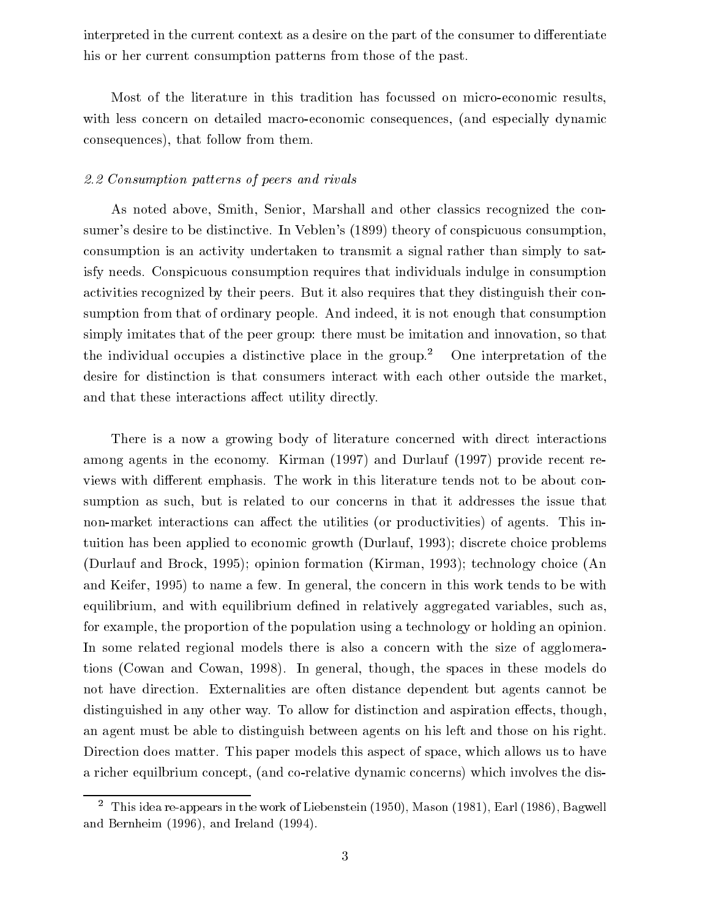interpreted in the current context as a desire on the part of the consumer to differentiate his or her current consumption patterns from those of the past.

Most of the literature in this tradition has focussed on micro-economic results, with less concern on detailed macro-economic consequences, (and especially dynamic consequences), that follow from them.

# 2.2 Consumption patterns of peers and rivals

As noted above, Smith, Senior, Marshall and other classics recognized the consumer's desire to be distinctive. In Veblen's (1899) theory of conspicuous consumption, consumption is an activity undertaken to transmit a signal rather than simply to satisfy needs. Conspicuous consumption requires that individuals indulge in consumption activities recognized by their peers. But it also requires that they distinguish their consumption from that of ordinary people. And indeed, it is not enough that consumption simply imitates that of the peer group: there must be imitation and innovation, so that the individual occupies a distinctive place in the group.<sup>2</sup> One interpretation of the desire for distinction is that consumers interact with each other outside the market, and that these interactions affect utility directly.

There is a now a growing body of literature concerned with direct interactions among agents in the economy. Kirman (1997) and Durlauf (1997) provide recent reviews with different emphasis. The work in this literature tends not to be about consumption as such, but is related to our concerns in that it addresses the issue that non-market interactions can affect the utilities (or productivities) of agents. This intuition has been applied to economic growth (Durlauf, 1993); discrete choice problems (Durlauf and Brock, 1995); opinion formation (Kirman, 1993); technology choice (An and Keifer, 1995) to name a few. In general, the concern in this work tends to be with equilibrium, and with equilibrium defined in relatively aggregated variables, such as, for example, the proportion of the population using a technology or holding an opinion. In some related regional models there is also a concern with the size of agglomerations (Cowan and Cowan, 1998). In general, though, the spaces in these models do not have direction. Externalities are often distance dependent but agents cannot be distinguished in any other way. To allow for distinction and aspiration effects, though, an agent must be able to distinguish between agents on his left and those on his right. Direction does matter. This paper models this aspect of space, which allows us to have a richer equilbrium concept, (and co-relative dynamic concerns) which involves the dis-

<sup>2</sup> This idea re-appears in the work of Liebenstein (1950), Mason (1981), Earl (1986), Bagwell and Bernheim (1996), and Ireland (1994).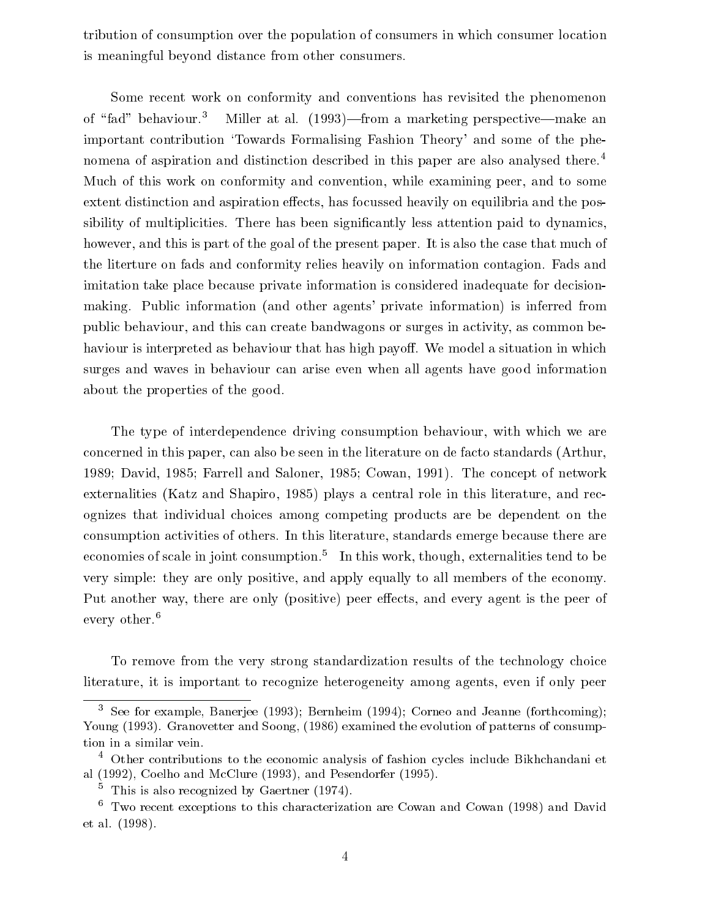tribution of consumption over the population of consumers in which consumer location is meaningful beyond distance from other consumers.

Some recent work on conformity and conventions has revisited the phenomenon of "fad" behaviour.<sup>3</sup> Miller at al. (1993)—from a marketing perspective—make an important contribution 'Towards Formalising Fashion Theory' and some of the phenomena of aspiration and distinction described in this paper are also analysed there.4 Much of this work on conformity and convention, while examining peer, and to some extent distinction and aspiration effects, has focussed heavily on equilibria and the possibility of multiplicities. There has been significantly less attention paid to dynamics, however, and this is part of the goal of the present paper. It is also the case that much of the literture on fads and conformity relies heavily on information contagion. Fads and imitation take place because private information is considered inadequate for decisionmaking. Public information (and other agents' private information) is inferred from public behaviour, and this can create bandwagons or surges in activity, as common behaviour is interpreted as behaviour that has high payoff. We model a situation in which surges and waves in behaviour can arise even when all agents have good information about the properties of the good.

The type of interdependence driving consumption behaviour, with which we are concerned in this paper, can also be seen in the literature on de facto standards (Arthur, 1989; David, 1985; Farrell and Saloner, 1985; Cowan, 1991). The concept of network externalities (Katz and Shapiro, 1985) plays a central role in this literature, and recognizes that individual choices among competing products are be dependent on the consumption activities of others. In this literature, standards emerge because there are economies of scale in joint consumption.<sup>5</sup> In this work, though, externalities tend to be very simple: they are only positive, and apply equally to all members of the economy. Put another way, there are only (positive) peer effects, and every agent is the peer of every other.<sup>6</sup>

To remove from the very strong standardization results of the technology choice literature, it is important to recognize heterogeneity among agents, even if only peer

<sup>3</sup> See for example, Banerjee (1993); Bernheim (1994); Corneo and Jeanne (forthcoming); Young (1993). Granovetter and Soong, (1986) examined the evolution of patterns of consumption in a similar vein.

<sup>4</sup> Other contributions to the economic analysis of fashion cycles include Bikhchandani et al (1992), Coelho and McClure (1993), and Pesendorfer (1995).

<sup>5</sup> This is also recognized by Gaertner (1974).

 $^\circ$  Two recent exceptions to this characterization are Cowan and Cowan (1998) and David et al. (1998).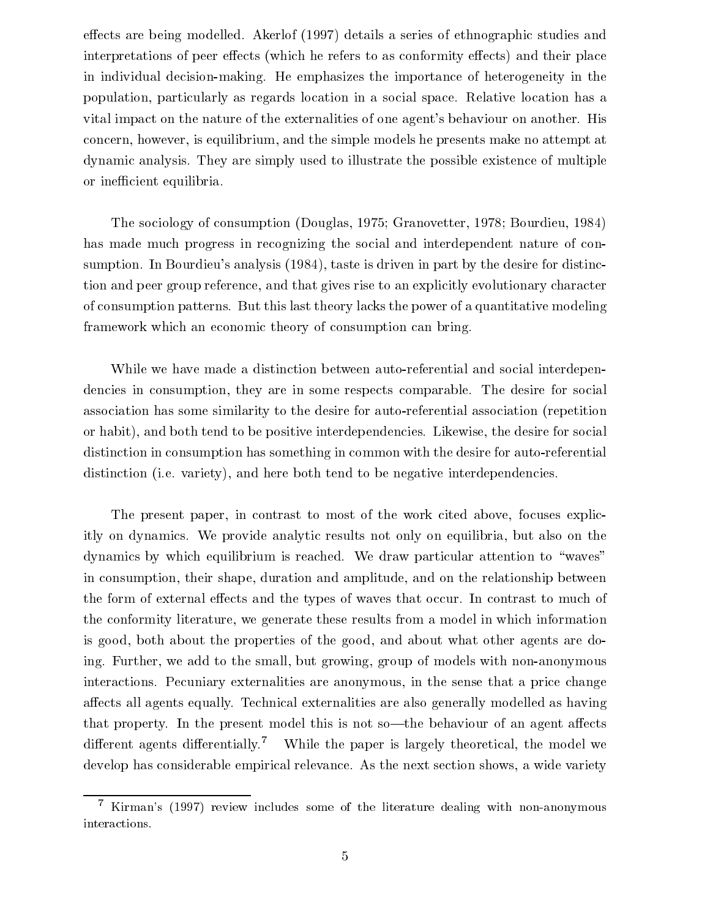effects are being modelled. Akerlof (1997) details a series of ethnographic studies and interpretations of peer effects (which he refers to as conformity effects) and their place in individual decision-making. He emphasizes the importance of heterogeneity in the population, particularly as regards location in a social space. Relative location has a vital impact on the nature of the externalities of one agent's behaviour on another. His concern, however, is equilibrium, and the simple models he presents make no attempt at dynamic analysis. They are simply used to illustrate the possible existence of multiple or inefficient equilibria.

The sociology of consumption (Douglas, 1975; Granovetter, 1978; Bourdieu, 1984) has made much progress in recognizing the social and interdependent nature of consumption. In Bourdieu's analysis (1984), taste is driven in part by the desire for distinction and peer group reference, and that gives rise to an explicitly evolutionary character of consumption patterns. But this last theory lacks the power of a quantitative modeling framework which an economic theory of consumption can bring.

While we have made a distinction between auto-referential and social interdependencies in consumption, they are in some respects comparable. The desire for social association has some similarity to the desire for auto-referential association (repetition or habit), and both tend to be positive interdependencies. Likewise, the desire for social distinction in consumption has something in common with the desire for auto-referential distinction (i.e. variety), and here both tend to be negative interdependencies.

The present paper, in contrast to most of the work cited above, focuses explicitly on dynamics. We provide analytic results not only on equilibria, but also on the dynamics by which equilibrium is reached. We draw particular attention to "waves" in consumption, their shape, duration and amplitude, and on the relationship between the form of external effects and the types of waves that occur. In contrast to much of the conformity literature, we generate these results from a model in which information is good, both about the properties of the good, and about what other agents are doing. Further, we add to the small, but growing, group of models with non-anonymous interactions. Pecuniary externalities are anonymous, in the sense that a price change affects all agents equally. Technical externalities are also generally modelled as having that property. In the present model this is not so—the behaviour of an agent affects different agents differentially.<sup>7</sup> While the paper is largely theoretical, the model we develop has considerable empirical relevance. As the next section shows, a wide variety

<sup>7</sup> Kirman's (1997) review includes some of the literature dealing with non-anonymous interactions.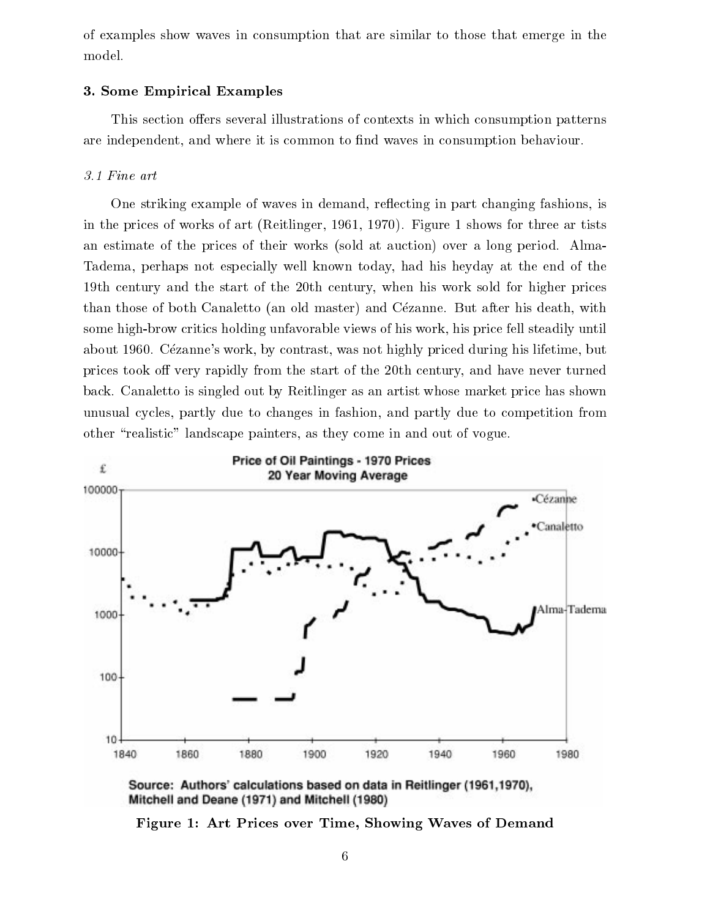of examples show waves in consumption that are similar to those that emerge in the model.

#### 3. Some Empirical Examples

This section offers several illustrations of contexts in which consumption patterns are independent, and where it is common to find waves in consumption behaviour.

## 3.1 Fine art

One striking example of waves in demand, reflecting in part changing fashions, is in the prices of works of art (Reitlinger, 1961, 1970). Figure 1 shows for three ar tists an estimate of the prices of their works (sold at auction) over a long period. Alma-Tadema, perhaps not especially well known today, had his heyday at the end of the 19th century and the start of the 20th century, when his work sold for higher prices than those of both Canaletto (an old master) and Cezanne. But after his death, with some high-brow critics holding unfavorable views of his work, his price fell steadily until about 1960. Cézanne's work, by contrast, was not highly priced during his lifetime, but prices took off very rapidly from the start of the 20th century, and have never turned back. Canaletto is singled out by Reitlinger as an artist whose market price has shown unusual cycles, partly due to changes in fashion, and partly due to competition from other \realistic" landscape painters, as they come in and out of vogue.



Source: Authors' calculations based on data in Reitlinger (1961,1970), Mitchell and Deane (1971) and Mitchell (1980)

Figure 1: Art Prices over Time, Showing Waves of Demand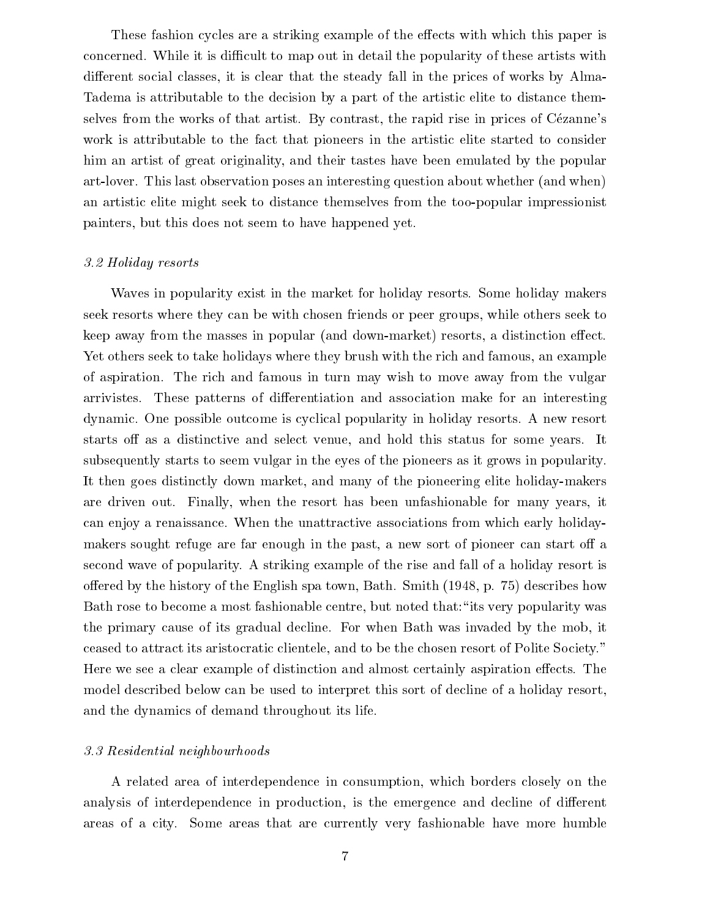These fashion cycles are a striking example of the effects with which this paper is concerned. While it is difficult to map out in detail the popularity of these artists with different social classes, it is clear that the steady fall in the prices of works by Alma-Tadema is attributable to the decision by a part of the artistic elite to distance themselves from the works of that artist. By contrast, the rapid rise in prices of Cezanne's work is attributable to the fact that pioneers in the artistic elite started to consider him an artist of great originality, and their tastes have been emulated by the popular art-lover. This last observation poses an interesting question about whether (and when) an artistic elite might seek to distance themselves from the too-popular impressionist painters, but this does not seem to have happened yet.

#### 3.2 Holiday resorts

Waves in popularity exist in the market for holiday resorts. Some holiday makers seek resorts where they can be with chosen friends or peer groups, while others seek to keep away from the masses in popular (and down-market) resorts, a distinction effect. Yet others seek to take holidays where they brush with the rich and famous, an example of aspiration. The rich and famous in turn may wish to move away from the vulgar arrivistes. These patterns of differentiation and association make for an interesting dynamic. One possible outcome is cyclical popularity in holiday resorts. A new resort starts off as a distinctive and select venue, and hold this status for some years. It subsequently starts to seem vulgar in the eyes of the pioneers as it grows in popularity. It then goes distinctly down market, and many of the pioneering elite holiday-makers are driven out. Finally, when the resort has been unfashionable for many years, it can enjoy a renaissance. When the unattractive associations from which early holidaymakers sought refuge are far enough in the past, a new sort of pioneer can start off a second wave of popularity. A striking example of the rise and fall of a holiday resort is offered by the history of the English spa town, Bath. Smith  $(1948, p. 75)$  describes how Bath rose to become a most fashionable centre, but noted that: "its very popularity was the primary cause of its gradual decline. For when Bath was invaded by the mob, it ceased to attract its aristocratic clientele, and to be the chosen resort of Polite Society." Here we see a clear example of distinction and almost certainly aspiration effects. The model described below can be used to interpret this sort of decline of a holiday resort, and the dynamics of demand throughout its life.

#### 3.3 Residential neighbourhoods

A related area of interdependence in consumption, which borders closely on the analysis of interdependence in production, is the emergence and decline of different areas of a city. Some areas that are currently very fashionable have more humble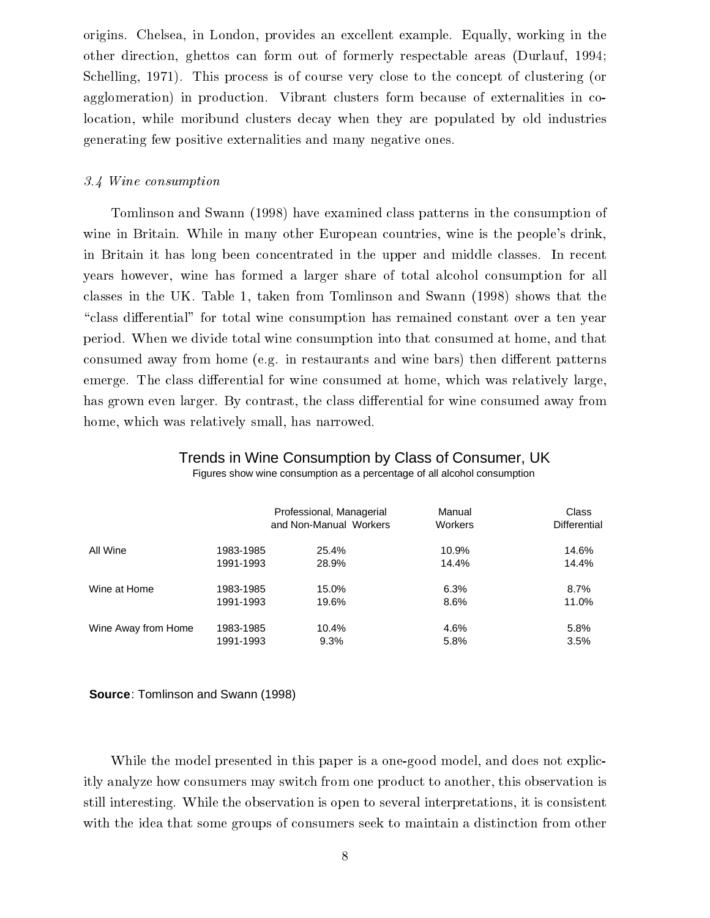origins. Chelsea, in London, provides an excellent example. Equally, working in the other direction, ghettos can form out of formerly respectable areas (Durlauf, 1994; Schelling, 1971). This process is of course very close to the concept of clustering (or agglomeration) in production. Vibrant clusters form because of externalities in colocation, while moribund clusters decay when they are populated by old industries generating few positive externalities and many negative ones.

#### 3.4 Wine consumption

Tomlinson and Swann (1998) have examined class patterns in the consumption of wine in Britain. While in many other European countries, wine is the people's drink, in Britain it has long been concentrated in the upper and middle classes. In recent years however, wine has formed a larger share of total alcohol consumption for all classes in the UK. Table 1, taken from Tomlinson and Swann (1998) shows that the "class differential" for total wine consumption has remained constant over a ten year period. When we divide total wine consumption into that consumed at home, and that consumed away from home (e.g. in restaurants and wine bars) then different patterns emerge. The class differential for wine consumed at home, which was relatively large, has grown even larger. By contrast, the class differential for wine consumed away from home, which was relatively small, has narrowed.

# Trends in Wine Consumption by Class of Consumer, UK

Figures show wine consumption as a percentage of all alcohol consumption

|                     |           | Professional, Managerial<br>and Non-Manual Workers | Manual<br><b>Workers</b> | Class<br>Differential |
|---------------------|-----------|----------------------------------------------------|--------------------------|-----------------------|
| All Wine            | 1983-1985 | 25.4%                                              | 10.9%                    | 14.6%                 |
|                     | 1991-1993 | 28.9%                                              | 14.4%                    | 14.4%                 |
| Wine at Home        | 1983-1985 | 15.0%                                              | 6.3%                     | 8.7%                  |
|                     | 1991-1993 | 19.6%                                              | 8.6%                     | 11.0%                 |
| Wine Away from Home | 1983-1985 | 10.4%                                              | 4.6%                     | 5.8%                  |
|                     | 1991-1993 | 9.3%                                               | 5.8%                     | 3.5%                  |

#### **Source**: Tomlinson and Swann (1998)

While the model presented in this paper is a one-good model, and does not explicitly analyze how consumers may switch from one product to another, this observation is still interesting. While the observation is open to several interpretations, it is consistent with the idea that some groups of consumers seek to maintain a distinction from other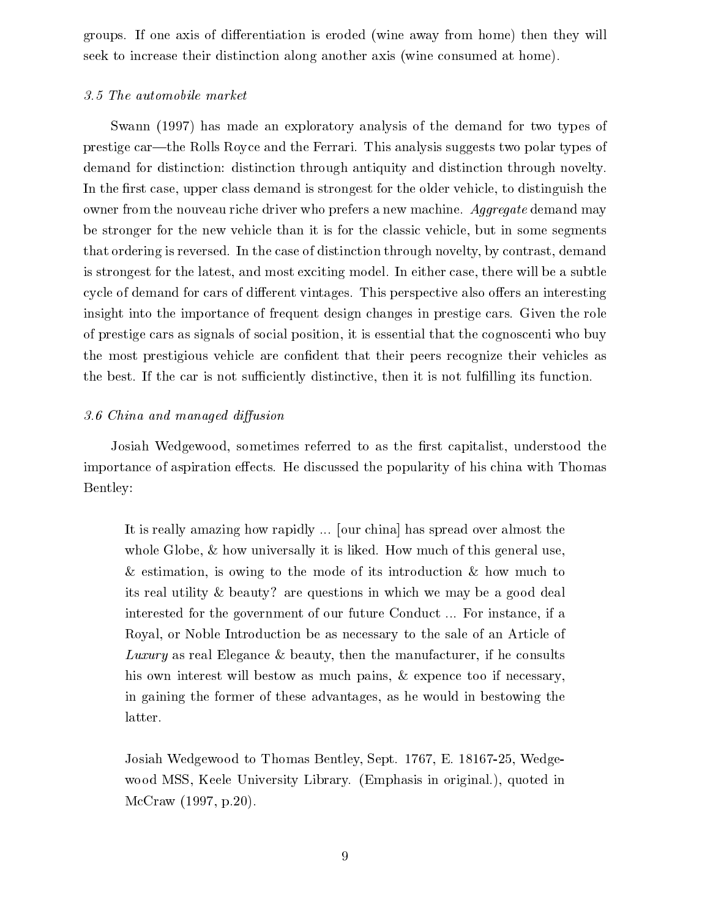groups. If one axis of differentiation is eroded (wine away from home) then they will seek to increase their distinction along another axis (wine consumed at home).

## 3.5 The automobile market

Swann (1997) has made an exploratory analysis of the demand for two types of prestige car—the Rolls Royce and the Ferrari. This analysis suggests two polar types of demand for distinction: distinction through antiquity and distinction through novelty. In the first case, upper class demand is strongest for the older vehicle, to distinguish the owner from the nouveau riche driver who prefers a new machine. Aggregate demand may be stronger for the new vehicle than it is for the classic vehicle, but in some segments that ordering is reversed. In the case of distinction through novelty, by contrast, demand is strongest for the latest, and most exciting model. In either case, there will be a subtle cycle of demand for cars of different vintages. This perspective also offers an interesting insight into the importance of frequent design changes in prestige cars. Given the role of prestige cars as signals of social position, it is essential that the cognoscenti who buy the most prestigious vehicle are condent that their peers recognize their vehicles as the best. If the car is not sufficiently distinctive, then it is not fulfilling its function.

# 3.6 China and managed diffusion

Josiah Wedgewood, sometimes referred to as the first capitalist, understood the importance of aspiration effects. He discussed the popularity of his china with Thomas Bentley:

It is really amazing how rapidly ... [our china] has spread over almost the whole Globe, & how universally it is liked. How much of this general use, & estimation, is owing to the mode of its introduction & how much to its real utility & beauty? are questions in which we may be a good deal interested for the government of our future Conduct ... For instance, if a Royal, or Noble Introduction be as necessary to the sale of an Article of Luxury as real Elegance & beauty, then the manufacturer, if he consults his own interest will bestow as much pains, & expence too if necessary, in gaining the former of these advantages, as he would in bestowing the latter.

Josiah Wedgewood to Thomas Bentley, Sept. 1767, E. 18167-25, Wedgewood MSS, Keele University Library. (Emphasis in original.), quoted in McCraw (1997, p.20).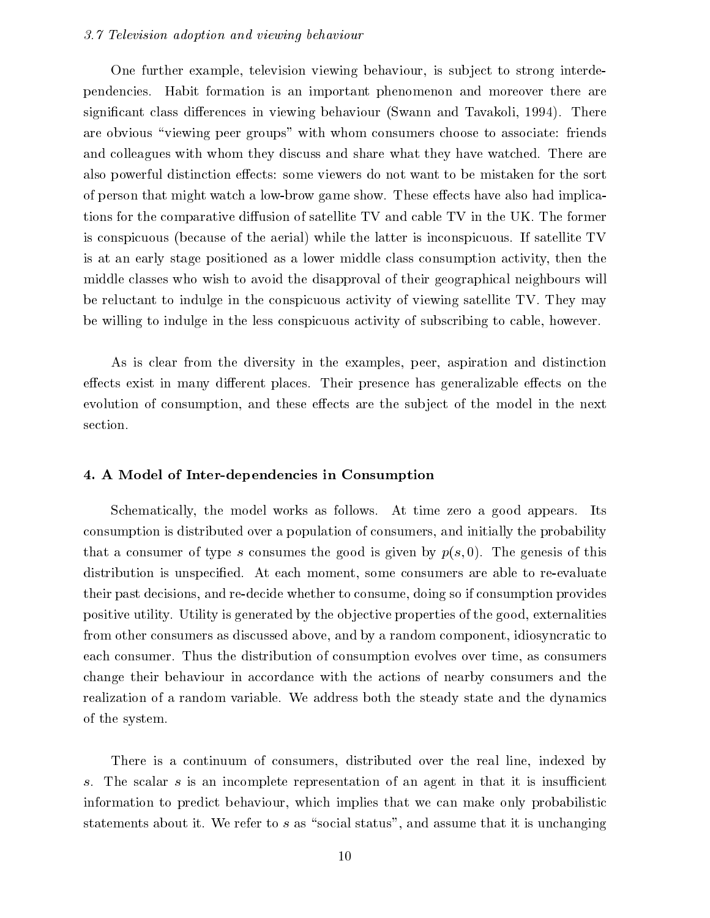#### 3.7 Television adoption and viewing behaviour

One further example, television viewing behaviour, is subject to strong interdependencies. Habit formation isan important phenomenon and moreover there are significant class differences in viewing behaviour (Swann and Tavakoli, 1994). There are obvious "viewing peer groups" with whom consumers choose to associate: friends and colleagues with whom they discuss and share what they have watched. There are also powerful distinction effects: some viewers do not want to be mistaken for the sort of person that might watch a low-brow game show. These effects have also had implications for the comparative diffusion of satellite TV and cable TV in the UK. The former is conspicuous (because of the aerial) while the latter is inconspicuous. If satellite TV is at an early stage positioned as a lower middle class consumption activity, then the middle classes who wish to avoid the disapproval of their geographical neighbours will be reluctant to indulge in the conspicuous activity of viewing satellite TV. They may be willing to indulge in the less conspicuous activity of subscribing to cable, however.

As is clear from the diversity in the examples, peer, aspiration and distinction effects exist in many different places. Their presence has generalizable effects on the evolution of consumption, and these effects are the subject of the model in the next section.

### 4. A Model of Inter-dependencies in Consumption

Schematically, the model works as follows. At time zero a good appears. Its consumption is distributed over a population of consumers, and initially the probability that a consumer of type s consumes the good is given by  $p(s, 0)$ . The genesis of this distribution is unspecified. At each moment, some consumers are able to re-evaluate their past decisions, and re-decide whether to consume, doing so if consumption provides positive utility. Utility is generated by the ob jective properties of the good, externalities from other consumers as discussed above, and by a random component, idiosyncratic to each consumer. Thus the distribution of consumption evolves over time, as consumers change their behaviour in accordance with the actions of nearby consumers and the realization of a random variable. We address both the steady state and the dynamics of the system.

There is a continuum of consumers, distributed over the real line, indexed by The scalar  $s$  is an incomplete representation of an agent in that it is insufficient  $S_{+}$ information to predict behaviour, which implies that we can make only probabilistic statements about it. We refer to s as "social status", and assume that it is unchanging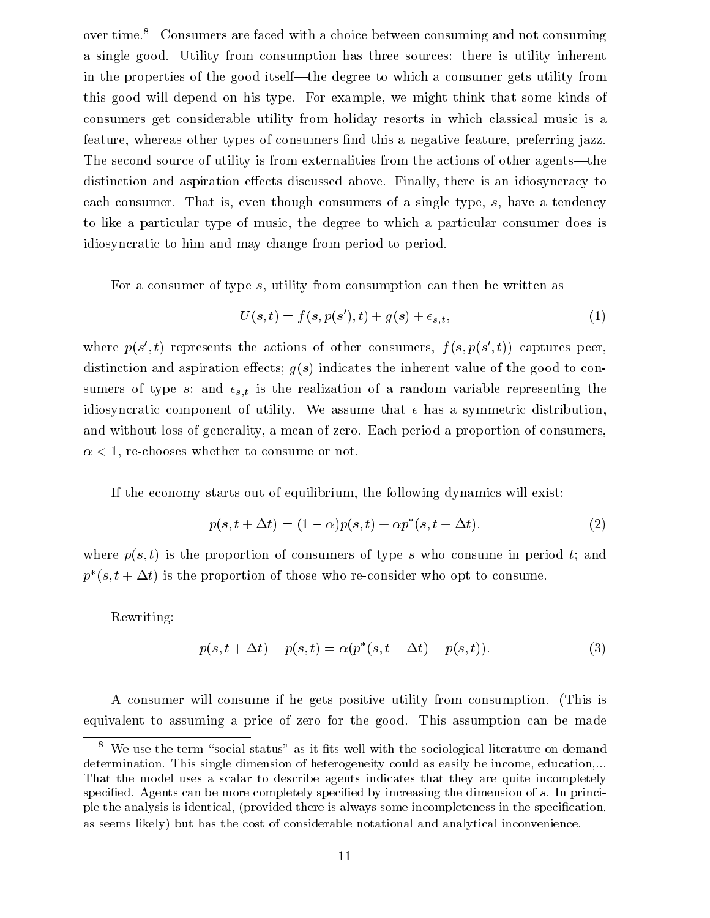over time.<sup>8</sup> Consumers are faced with a choice between consuming and not consuming a single good. Utility from consumption has three sources: there is utility inherent in the properties of the good itself—the degree to which a consumer gets utility from this good willdepend on his type. For example, we might think that some kinds of consumers get considerable utility from holiday resorts in which classical music is a feature, whereas other types of consumers find this a negative feature, preferring jazz. The second source of utility is from externalities from the actions of other agents—the distinction and aspiration effects discussed above. Finally, there is an idiosyncracy to each consumer. That is, even though consumers of a single type, s, have a tendency to like a particular type of music, the degree to which a particular consumer does is idiosyncratic to him and may change from period to period.

For a consumer of type s, utility from consumption can then be written as

$$
U(s,t) = f(s, p(s'), t) + g(s) + \epsilon_{s,t},
$$
\n(1)

where  $p(s_1, t)$  represents the actions of other consumers,  $f(s, p(s_1, t))$  captures peer, distinction and aspiration effects;  $g(s)$  indicates the inherent value of the good to consumers of type s; and  $\epsilon_{s,t}$  is the realization of a random variable representing the idiosyncratic component of utility. We assume that  $\epsilon$  has a symmetric distribution. and without loss of generality, a mean of zero. Each period a proportion of consumers,  $\alpha$  < 1, re-chooses whether to consume or not.

If the economy starts out of equilibrium, the following dynamics will exist:

$$
p(s, t + \Delta t) = (1 - \alpha)p(s, t) + \alpha p^*(s, t + \Delta t). \tag{2}
$$

where  $p(s, t)$  is the proportion of consumers of type s who consume in period t; and  $p$  (s,  $t + \Delta t$ ) is the proportion of those who re-consider who opt to consume.

Rewriting:

$$
p(s, t + \Delta t) - p(s, t) = \alpha (p^*(s, t + \Delta t) - p(s, t)).
$$
\n(3)

A consumer will consume if he gets positive utility from consumption. (This is equivalent to assuming a price of zero for the good. This assumption can be made

 $\,$  – We use the term "social status" as it fits well with the sociological literature on demand  $\,$ determination. This single dimension of heterogeneity could as easily be income, education,... That the model uses a scalar to describe agents indicates that they are quite incompletely specified. Agents can be more completely specified by increasing the dimension of s. In principle the analysis is identical, (provided there is always some incompleteness in the specication, as seems likely) but has the cost of considerable notational and analytical inconvenience.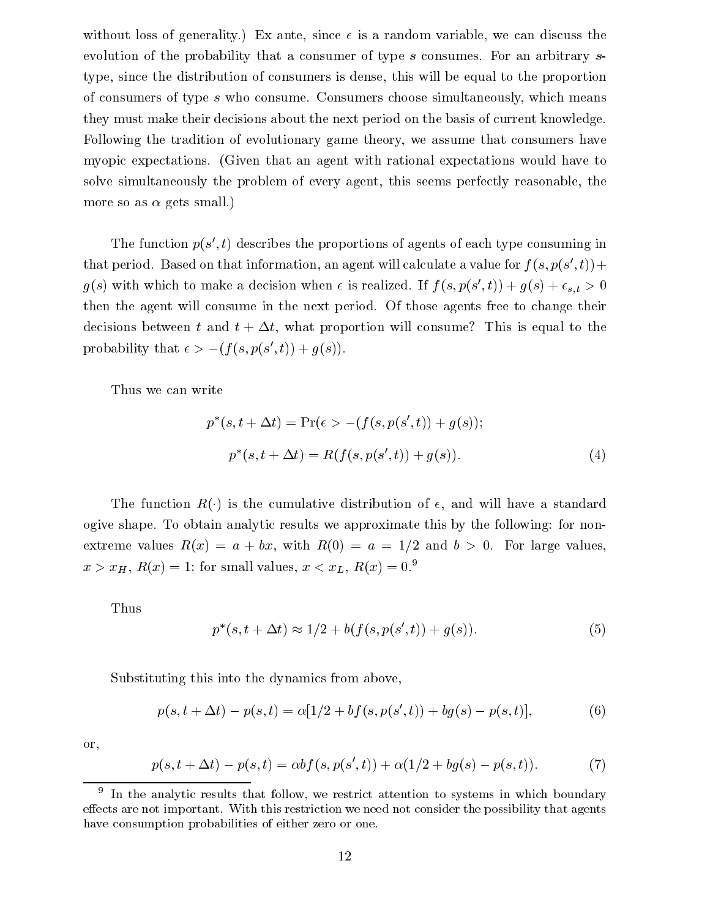without loss of generality.) Ex ante, since  $\epsilon$  is a random variable, we can discuss the evolution of the probability that a consumer of type s consumes. For an arbitrary s type, since the distribution of consumers is dense, this will be equal to the proportion of consumers of type s who consume. Consumers choose simultaneously, which means they must make their decisions about the next period on the basis of current knowledge. Following the tradition of evolutionary game theory, we assume that consumers have myopic expectations. (Given that an agent with rational expectations would have to solve simultaneously the problem of every agent, this seems perfectly reasonable, the more so as  $\alpha$  gets small.)

The function p(s 0; t) describes the proportions of agents of each type consuming in that period. Based on that information, an agent will calculate a value for  $f(s, p(s, t))$  +  $g(s)$  with which to make a decision when  $\epsilon$  is realized. If  $f(s,p(s_\epsilon,\iota)) + g(s) + \epsilon_{s,t} > 0$ then the agent will consume in the next period. Of those agents free to change their decisions between t and  $t + \Delta t$ , what proportion will consume? This is equal to the probability that  $\epsilon > -(f(s, p(s), t)) + q(s)$ .

Thus we can write

$$
p^*(s, t + \Delta t) = \Pr(\epsilon > -(f(s, p(s', t)) + g(s));
$$
  
\n
$$
p^*(s, t + \Delta t) = R(f(s, p(s', t)) + g(s)).
$$
\n(4)

The function  $R(\cdot)$  is the cumulative distribution of  $\epsilon$ , and will have a standard ogive shape. To obtain analytic results we approximate this by the following: for nonextreme values  $R(x) = a + bx$ , with  $R(0) = a = 1/2$  and  $b > 0$ . For large values,  $x > x_H$ ,  $R(x) = 1$ ; for small values,  $x < x_L$ ,  $R(x) = 0.9$ 

Thus

$$
p^*(s, t + \Delta t) \approx 1/2 + b(f(s, p(s', t)) + g(s)).
$$
\n(5)

Substituting this into the dynamics from above,

$$
p(s, t + \Delta t) - p(s, t) = \alpha [1/2 + bf(s, p(s', t)) + bg(s) - p(s, t)],
$$
\n(6)

or,

$$
p(s, t + \Delta t) - p(s, t) = \alpha b f(s, p(s', t)) + \alpha (1/2 + b g(s) - p(s, t)).
$$
\n(7)

 $^\circ$  in the analytic results that follow, we restrict attention to systems in which boundary effects are not important. With this restriction we need not consider the possibility that agents have consumption probabilities of either zero or one.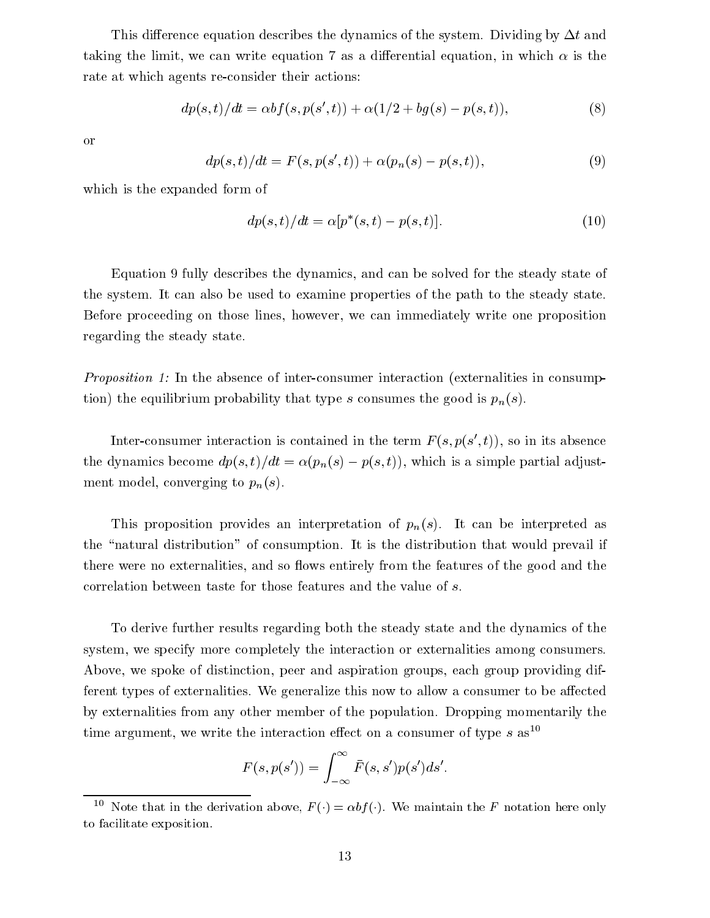This difference equation describes the dynamics of the system. Dividing by  $\Delta t$  and taking the limit, we can write equation 7 as a differential equation, in which  $\alpha$  is the rate at which agents re-consider their actions:

$$
dp(s,t)/dt = \alpha bf(s, p(s',t)) + \alpha(1/2 + bg(s) - p(s,t)),
$$
\n(8)

or

$$
dp(s,t)/dt = F(s, p(s',t)) + \alpha(p_n(s) - p(s,t)),
$$
\n(9)

which is the expanded form of

$$
dp(s,t)/dt = \alpha[p^*(s,t) - p(s,t)].
$$
\n(10)

Equation 9 fully describes the dynamics, and can be solved for the steady state of the system. It can also be used to examine properties of the path to the steady state. Before proceeding on those lines, however, we can immediately write one proposition regarding the steady state.

Proposition 1: In the absence of inter-consumer interaction (externalities in consumption) the equilibrium probability that type s consumes the good is  $p_n(s)$ .

Inter-consumer interaction is contained in the term  $F(s, p(s, t))$ , so in its absence the dynamics become  $dp(s, t)/dt = \alpha(p_n(s) - p(s, t))$ , which is a simple partial adjustment model, converging to  $p_n(s)$ .

This proposition provides an interpretation of  $p_n(s)$ . It can be interpreted as the "natural distribution" of consumption. It is the distribution that would prevail if there were no externalities, and so flows entirely from the features of the good and the correlation between taste for those features and the value of s.

To derive further results regarding both the steady state and the dynamics of the system, we specify more completely the interaction or externalities among consumers. Above, we spoke of distinction, peer and aspiration groups, each group providing different types of externalities. We generalize this now to allow a consumer to be affected by externalities from any other member of the population. Dropping momentarily the time argument, we write the interaction effect on a consumer of type  $s$  as<sup>10</sup>

$$
F(s, p(s')) = \int_{-\infty}^{\infty} \bar{F}(s, s')p(s')ds'.
$$

 $\overline{1}$  Note that in the derivation above,  $F(\cdot) = \alpha \overline{v} f(\cdot)$ . We maintain the F notation here only to facilitate exposition.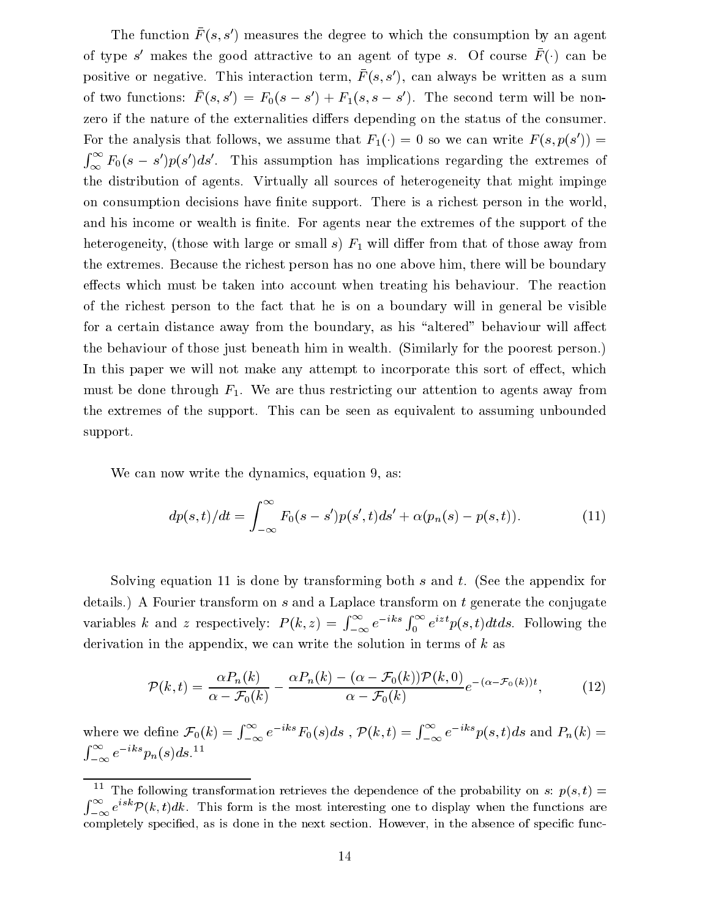The function  $F(s, s)$  measures the degree to which the consumption by an agent of type  $s$  -makes the good attractive to an agent of type  $s$ . Of course  $F(\cdot)$  can be positive or negative. This interaction term,  $F(s,s)$ , can always be written as a sum of two functions:  $F(s, s) = F_0(s - s) + F_1(s, s - s)$ . The second term will be nonzero if the nature of the externalities differs depending on the status of the consumer. For the analysis that follows, we assume that  $F_1(\cdot) = 0$  so we can write  $F(s, p(s)) =$  $\int_{\infty}^{\infty} F_0(s-s')p(s')ds'$ . This assumption has implications regarding the extremes of the distribution of agents. Virtually all sources of heterogeneity that might impinge on consumption decisions have finite support. There is a richest person in the world, and his income or wealth is finite. For agents near the extremes of the support of the heterogeneity, (those with large or small s)  $F_1$  will differ from that of those away from the extremes. Because the richest person has no one above him, there will be boundary effects which must be taken into account when treating his behaviour. The reaction of the richest person to the fact that he is on a boundary will in general be visible for a certain distance away from the boundary, as his "altered" behaviour will affect the behaviour of those just beneath him in wealth. (Similarly for the poorest person.) In this paper we will not make any attempt to incorporate this sort of effect, which must be done through  $F_1$ . We are thus restricting our attention to agents away from the extremes of the support. This can be seen as equivalent to assuming unbounded support.

We can now write the dynamics, equation 9, as:

$$
dp(s,t)/dt = \int_{-\infty}^{\infty} F_0(s - s')p(s',t)ds' + \alpha(p_n(s) - p(s,t)).
$$
\n(11)

Solving equation 11 is done by transforming both s and t. (See the appendix for details.) A Fourier transform on s and a Laplace transform on t generate the conjugate variables k and z respectively: P (k; z) = and  $\alpha$  respectively: P (k) = and  $\alpha$  $\int_{-\infty}^{\infty} e^{-iks} \int_{0}^{\infty} e^{izt} p(s,t) dt ds$ . Following the derivation in the appendix, we can write the solution in terms of  $k$  as

$$
\mathcal{P}(k,t) = \frac{\alpha P_n(k)}{\alpha - \mathcal{F}_0(k)} - \frac{\alpha P_n(k) - (\alpha - \mathcal{F}_0(k))\mathcal{P}(k,0)}{\alpha - \mathcal{F}_0(k)}e^{-(\alpha - \mathcal{F}_0(k))t},\tag{12}
$$

where we define  $\mathcal{F}_0(k) = \int_{-\infty}^{\infty} e^{-iks} F_0(s)ds$  ,  $\mathcal{P}(k,t) = \int_{-\infty}^{\infty} e^{-iks} p(s,t)ds$  and  $P_n(k) =$  $\int_{-\infty}^{\infty} e^{-iks} p_n(s) ds.$ <sup>11</sup>

 $\Box$  The following transformation retrieves the dependence of the probability on s:  $p(s,t) =$  $\int_{-\infty}^{\infty} e^{isk} \mathcal{P}(k,t) dk$ . This form is the most interesting one to display when the functions are completely specified, as is done in the next section. However, in the absence of specific func-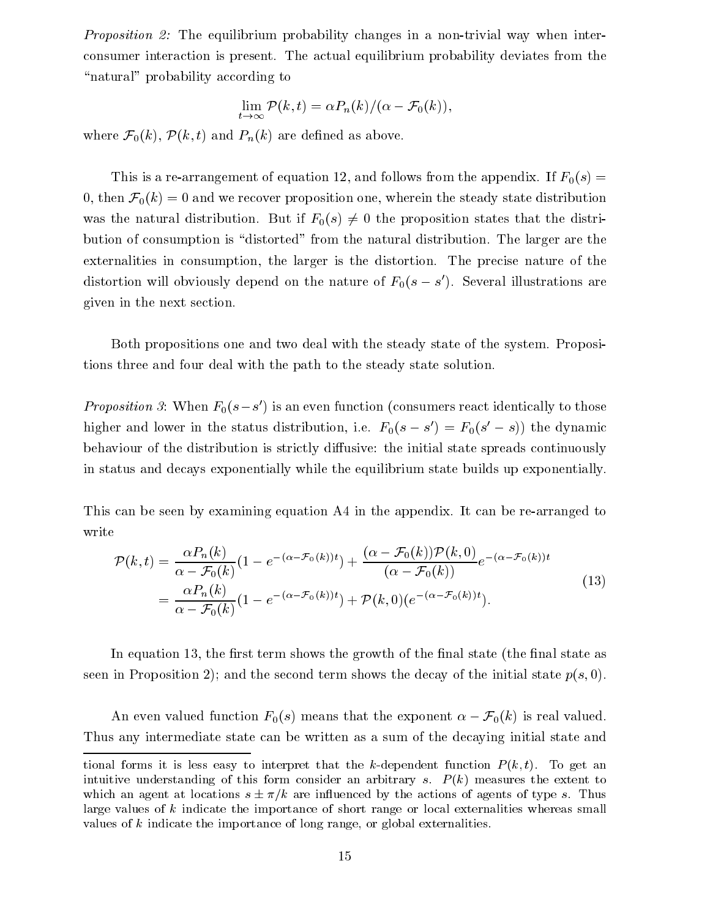Proposition 2: The equilibrium probability changes in a non-trivial way when interconsumer interaction is present. The actual equilibrium probability deviates from the "natural" probability according to

$$
\lim_{t \to \infty} \mathcal{P}(k, t) = \alpha P_n(k) / (\alpha - \mathcal{F}_0(k)),
$$

where  $\mathcal{F}_0(k)$ ,  $\mathcal{P}(k,t)$  and  $P_n(k)$  are defined as above.

This is a re-arrangement of equation 12, and follows from the appendix. If  $F_0(s)$  = 0, then  $\mathcal{F}_0(k) = 0$  and we recover proposition one, wherein the steady state distribution was the natural distribution. But if  $F_0(s) \neq 0$  the proposition states that the distribution of consumption is "distorted" from the natural distribution. The larger are the externalities in consumption, the larger is the distortion. The precise nature of the distortion will obviously depend on the nature of  $\Gamma_0(s-s$  ). Several illustrations are given in the next section.

Both propositions one and two deal with the steady state of the system. Propositions three and four deal with the path to the steady state solution.

Proposition 3: When  $F_0(s-s$  ) is an even function (consumers react identically to those higher and lower in the status distribution, i.e.  $r_0(s - s) = r_0(s - s)$ ) the dynamic behaviour of the distribution is strictly diffusive: the initial state spreads continuously in status and decays exponentially while the equilibrium state builds up exponentially.

This can be seen by examining equation A4 in the appendix. It can be re-arranged to write

$$
\mathcal{P}(k,t) = \frac{\alpha P_n(k)}{\alpha - \mathcal{F}_0(k)} (1 - e^{-(\alpha - \mathcal{F}_0(k))t}) + \frac{(\alpha - \mathcal{F}_0(k))\mathcal{P}(k,0)}{(\alpha - \mathcal{F}_0(k))} e^{-(\alpha - \mathcal{F}_0(k))t}
$$
  
= 
$$
\frac{\alpha P_n(k)}{\alpha - \mathcal{F}_0(k)} (1 - e^{-(\alpha - \mathcal{F}_0(k))t}) + \mathcal{P}(k,0) (e^{-(\alpha - \mathcal{F}_0(k))t}).
$$
\n(13)

In equation 13, the first term shows the growth of the final state (the final state as seen in Proposition 2); and the second term shows the decay of the initial state  $p(s, 0)$ .

An even valued function  $F_0(s)$  means that the exponent  $\alpha - \mathcal{F}_0(k)$  is real valued. Thus any intermediate state can be written as a sum of the decaying initial state and

tional forms it is less easy to interpret that the k-dependent function  $P(k,t)$ . To get an intuitive understanding of this form consider an arbitrary s.  $P(k)$  measures the extent to which an agent at locations  $s \pm \pi/k$  are influenced by the actions of agents of type s. Thus large values of <sup>k</sup> indicate the importance of short range or local externalities whereas small values of <sup>k</sup> indicate the importance of long range, or global externalities.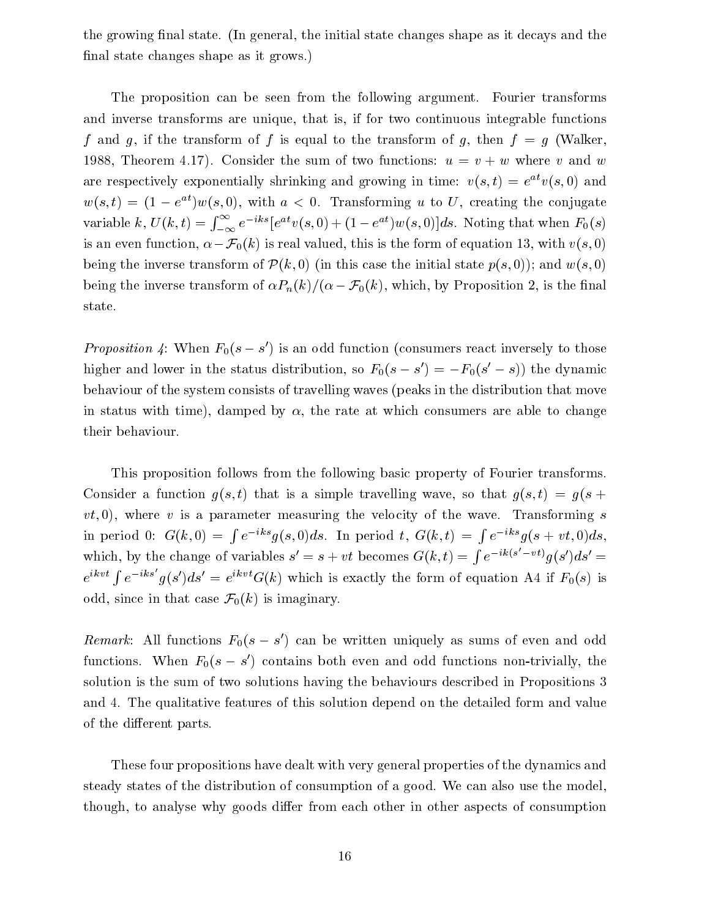the growing final state. (In general, the initial state changes shape as it decays and the final state changes shape as it grows.)

The proposition can be seen from the following argument. Fourier transforms and inverse transforms are unique, that is, if for two continuous integrable functions f and g, if the transform of f is equal to the transform of g, then  $f = g$  (Walker, 1988, Theorem 4.17). Consider the sum of two functions:  $u = v + w$  where v and w are respectively exponentially shrinking and growing in time:  $v(s,t) = e^{-v(s,t)}$  and  $w(s, t) = (1 - e^{-t})w(s, 0)$ , with  $a \leq 0$ . Transforming u to U, creating the conjugate variable k,  $U(k,t) = \int_{-\infty}^{\infty} e^{-iks} [e^{at}v(s,0) + (1 - e^{at})w(s,0)]ds$ . Noting that when  $F_0(s)$ is an even function,  $\alpha - \mathcal{F}_0(k)$  is real valued, this is the form of equation 13, with  $v(s,0)$ being the inverse transform of  $\mathcal{P}(k,0)$  (in this case the initial state  $p(s,0)$ ); and  $w(s,0)$ being the inverse transform of  $\alpha P_n(k)/(\alpha - \mathcal{F}_0(k))$ , which, by Proposition 2, is the final state.

Proposition 4: When  $F_0(s - s)$  is an odd function (consumers react inversely to those higher and lower in the status distribution, so  $r_0(s-s) = -r_0(s-s)$  the dynamic behaviour of the system consists of travelling waves (peaks in the distribution that move in status with time), damped by  $\alpha$ , the rate at which consumers are able to change their behaviour.

This proposition follows from the following basic property of Fourier transforms. Consider a function  $g(s, t)$  that is a simple travelling wave, so that  $g(s, t) = g(s + t)$  $vt$ , 0), where v is a parameter measuring the velocity of the wave. Transforming s in period 0: G(k; 0) =  $\int e^{-iks}g(s,0)ds$ . In period t,  $G(k,t) = \int e^{-iks}g(s+vt,0)ds$ , which, by the change of variables  $s' = s + vt$  becomes  $G(k, t) = \int e^{-ik(s'-vt)} q(s') ds' =$  $e^{ikvt} \int e^{-iks'} g(s')ds' = e^{ikvt} G(k)$  which is exactly the form of equation A4 if  $F_0(s)$  is odd, since in that case  $\mathcal{F}_0(k)$  is imaginary.

Remark: All functions  $r_0(s - s)$  can be written uniquely as sums of even and odd functions. When  $F_0(s-s$  ) contains both even and odd functions non-trivially, the solution is the sum of two solutions having the behaviours described in Propositions 3 and 4. The qualitative features of this solution depend on the detailed form and value of the different parts.

These four propositions have dealt with very general properties of the dynamics and steady states of the distribution of consumption of a good. We can also use the model, though, to analyse why goods differ from each other in other aspects of consumption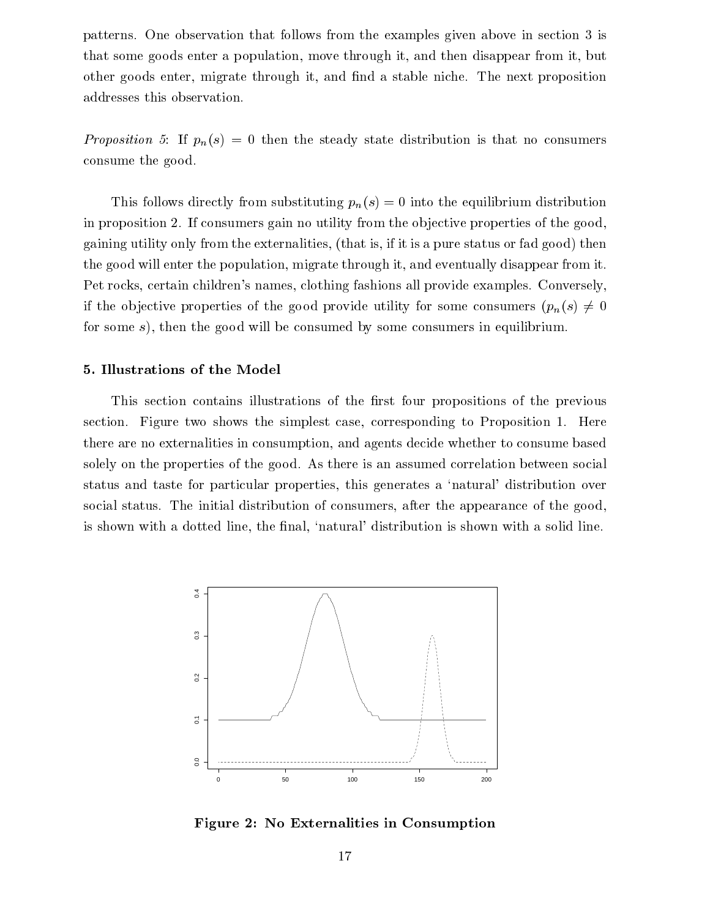patterns. One observation that follows from the examples given above in section 3 is that some goods enter a population, move through it, and then disappear from it, but other goods enter, migrate through it, and find a stable niche. The next proposition addresses this observation.

Proposition 5: If  $p_n(s) = 0$  then the steady state distribution is that no consumers consume the good.

This follows directly from substituting  $p_n(s)=0$  into the equilibrium distribution in proposition 2. If consumers gain no utility from the ob jective properties of the good, gaining utility only from the externalities, (that is, if it is a pure status or fad good) then the good will enter the population, migrate through it, and eventually disappear from it. Pet rocks, certain children's names, clothing fashions all provide examples. Conversely, if the objective properties of the good provide utility for some consumers  $(p_n(s) \neq 0)$ for some s), then the good will be consumed by some consumers in equilibrium.

## 5. Illustrations of the Model

This section contains illustrations of the first four propositions of the previous section. Figure two shows the simplest case, corresponding to Proposition 1. Here there are no externalities in consumption, and agents decide whether to consume based solely on the properties of the good. As there is an assumed correlation between social status and taste for particular properties, this generates a `natural' distribution over social status. The initial distribution of consumers, after the appearance of the good, is shown with a dotted line, the final, 'natural' distribution is shown with a solid line.



Figure 2: No Externalities in Consumption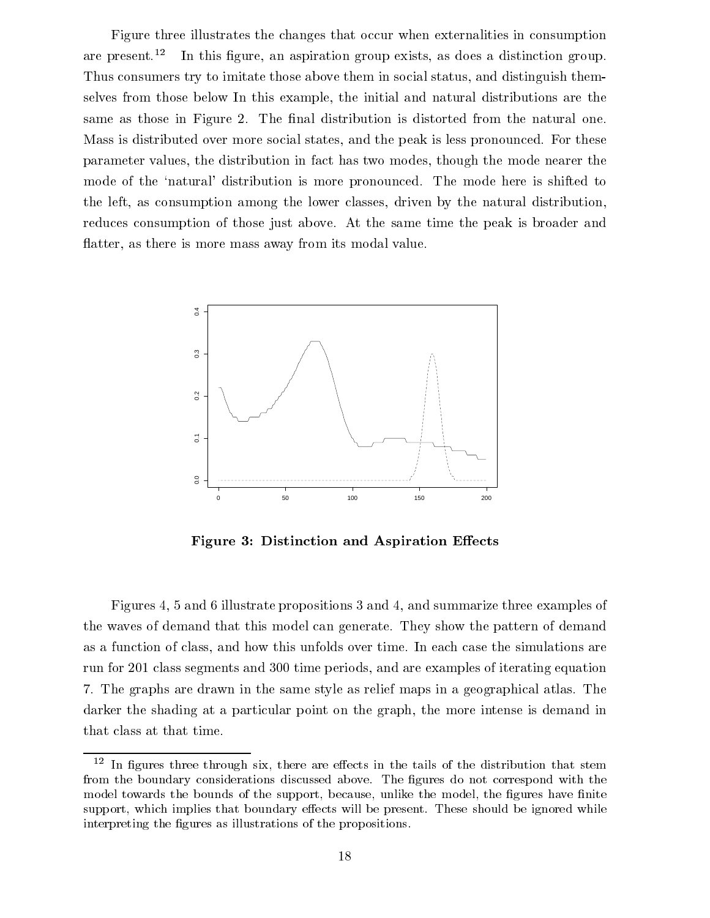Figure three illustrates the changes that occur when externalities in consumption are present.<sup>12</sup> In this figure, an aspiration group exists, as does a distinction group. Thus consumers try to imitate those above them in social status, and distinguish themselves from those below In this example, the initial and natural distributions are the same as those in Figure 2. The final distribution is distorted from the natural one. Mass is distributed over more social states, and the peak is less pronounced. For these parameter values, the distribution in fact has two modes, though the mode nearer the mode of the 'natural' distribution is more pronounced. The mode here is shifted to the left, as consumption among the lower classes, driven by the natural distribution, reduces consumption of those just above. At the same time the peak is broader and flatter, as there is more mass away from its modal value.



Figure 3: Distinction and Aspiration Effects

Figures 4, 5 and 6 illustrate propositions 3 and 4, and summarize three examples of the waves of demand that this model can generate. They show the pattern of demand as a function of class, and how this unfolds over time. In each case the simulations are run for 201 class segments and 300 time periods, and are examples of iterating equation 7. The graphs are drawn in the same style as relief maps in a geographical atlas. The darker the shading at a particular point on the graph, the more intense is demand in that class at that time.

 $^{\circ}$  In ngures three through six, there are effects in the tails of the distribution that stem from the boundary considerations discussed above. The figures do not correspond with the model towards the bounds of the support, because, unlike the model, the figures have finite support, which implies that boundary effects will be present. These should be ignored while interpreting the figures as illustrations of the propositions.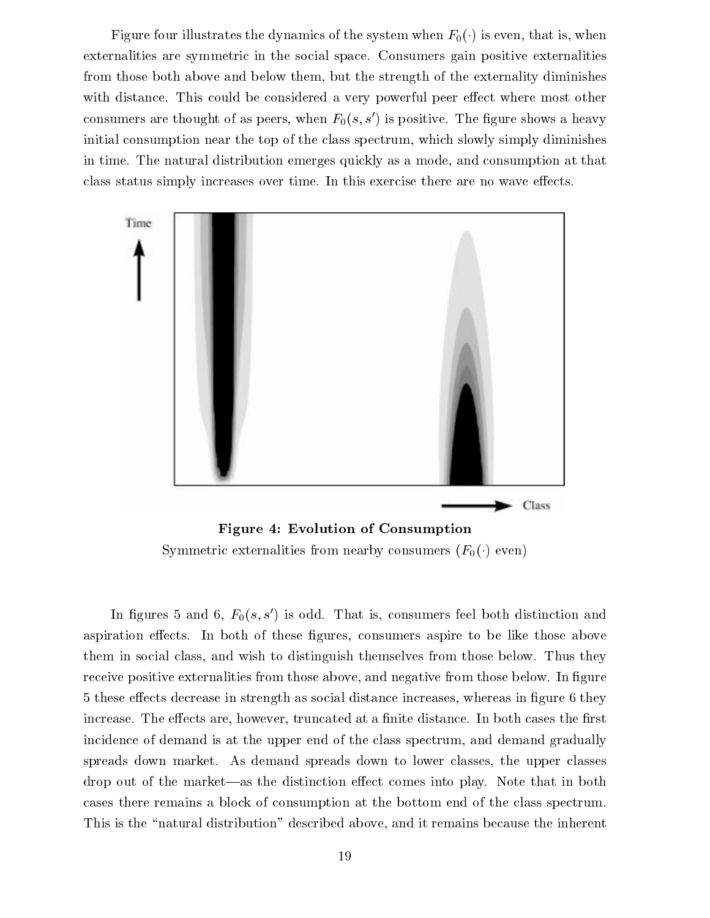Figure four illustrates the dynamics of the system when  $F_0(\cdot)$  is even, that is, when externalities are symmetric in the social space. Consumers gain positive externalities from those both above and below them, but the strength of the externality diminishes with distance. This could be considered a very powerful peer effect where most other consumers are thought of as peers, when  $F_0(s, s')$  is positive. The figure shows a heavy initial consumption near the top of the class spectrum, which slowly simply diminishes in time. The natural distribution emerges quickly as a mode, and consumption at that class status simply increases over time. In this exercise there are no wave effects.



Figure 4: Evolution of Consumption Symmetric externalities from nearby consumers  $(F_0(\cdot)$  even)

In figures 5 and 6,  $F_0(s, s')$  is odd. That is, consumers feel both distinction and aspiration effects. In both of these figures, consumers aspire to be like those above them in social class, and wish to distinguish themselves from those below. Thus they receive positive externalities from those above, and negative from those below. In figure 5 these effects decrease in strength as social distance increases, whereas in figure 6 they increase. The effects are, however, truncated at a finite distance. In both cases the first incidence of demand is at the upper end of the class spectrum, and demand gradually spreads down market. As demand spreads down to lower classes, the upper classes drop out of the market—as the distinction effect comes into play. Note that in both cases there remains a block of consumption at the bottom end of the class spectrum. This is the "natural distribution" described above, and it remains because the inherent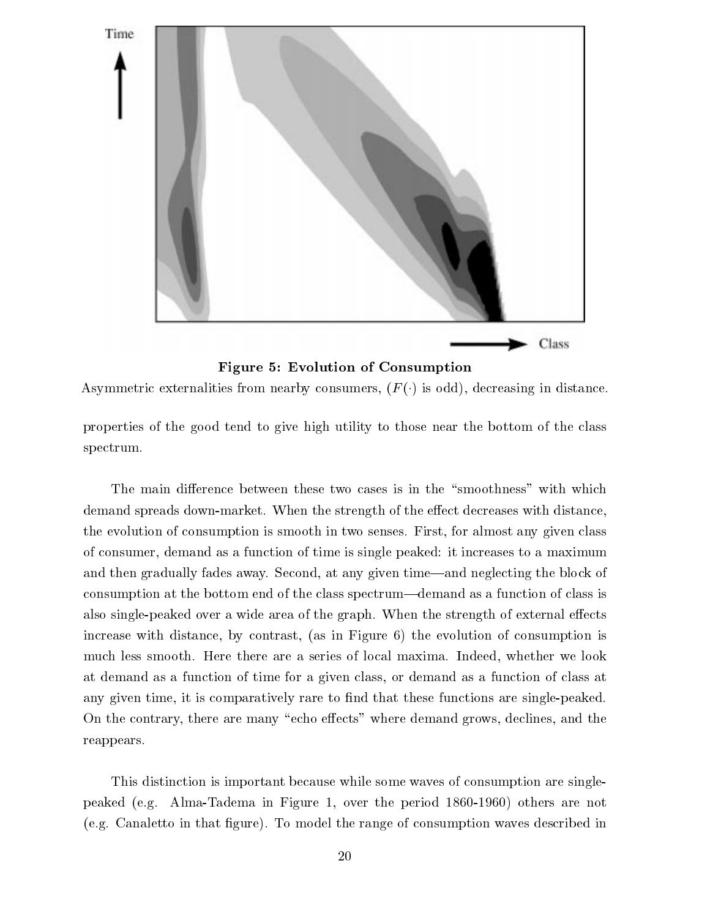

Figure 5: Evolution of Consumption

Asymmetric externalities from nearby consumers,  $(F()$  is odd), decreasing in distance.

properties of the good tend to give high utility to those near the bottom of the class spectrum.

The main difference between these two cases is in the "smoothness" with which demand spreads down-market. When the strength of the effect decreases with distance, the evolution of consumption is smooth in two senses. First, for almost any given class of consumer, demand as a function of time is single peaked: it increases to a maximum and then gradually fades away. Second, at any given time—and neglecting the block of consumption at the bottom end of the class spectrum—demand as a function of class is also single-peaked over a wide area of the graph. When the strength of external effects increase with distance, by contrast, (as in Figure 6) the evolution of consumption is much less smooth. Here there are a series of local maxima. Indeed, whether we look at demand as a function of time for a given class, or demand as a function of class at any given time, it is comparatively rare to find that these functions are single-peaked. On the contrary, there are many "echo effects" where demand grows, declines, and the reappears.

This distinction is important because while some waves of consumption are singlepeaked (e.g. Alma-Tadema in Figure 1, over the period 1860-1960) others are not (e.g. Canaletto in that gure). To model the range of consumption waves described in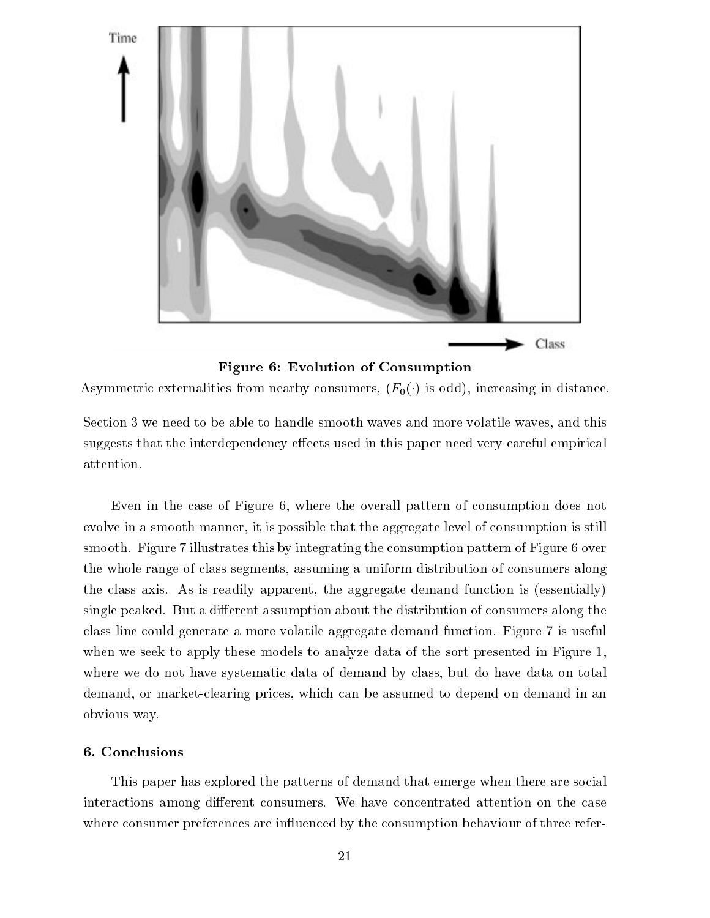

Figure 6: Evolution of Consumption

Asymmetric externalities from nearby consumers,  $(F_0(\cdot))$  is odd), increasing in distance.

Section 3 we need to be able to handle smooth waves and more volatile waves, and this suggests that the interdependency effects used in this paper need very careful empirical attention.

Even in the case of Figure 6, where the overall pattern of consumption does not evolve in a smooth manner, it is possible that the aggregate level of consumption is still smooth. Figure 7 illustrates this by integrating the consumption pattern of Figure 6 over the whole range of class segments, assuming a uniform distribution of consumers along the class axis. As is readily apparent, the aggregate demand function is (essentially) single peaked. But a different assumption about the distribution of consumers along the class line could generate a more volatile aggregate demand function. Figure 7 is useful when we seek to apply these models to analyze data of the sort presented in Figure 1, where we do not have systematic data of demand by class, but do have data on total demand, or market-clearing prices, which can be assumed to depend on demand in an obvious way.

# 6. Conclusions

This paper has explored the patterns of demand that emerge when there are social interactions among different consumers. We have concentrated attention on the case where consumer preferences are influenced by the consumption behaviour of three refer-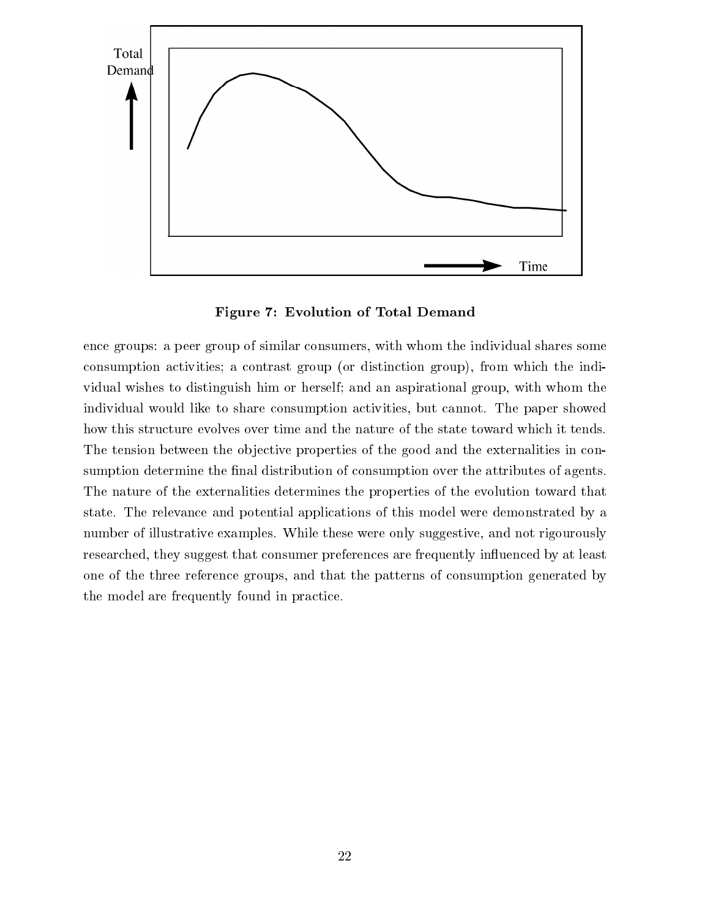

Figure 7: Evolution of Total Demand

ence groups: a peer group of similar consumers, with whom the individual shares some consumption activities; a contrast group (or distinction group), from which the individual wishes to distinguish him or herself; and an aspirational group, with whom the individual would like to share consumption activities, but cannot. The paper showed how this structure evolves over time and the nature of the state toward which it tends. The tension between the objective properties of the good and the externalities in consumption determine the final distribution of consumption over the attributes of agents. The nature of the externalities determines the properties of the evolution toward that state. The relevance and potential applications of this model were demonstrated by a number of illustrative examples. While these were only suggestive, and not rigourously researched, they suggest that consumer preferences are frequently influenced by at least one of the three reference groups, and that the patterns of consumption generated by the model are frequently found in practice.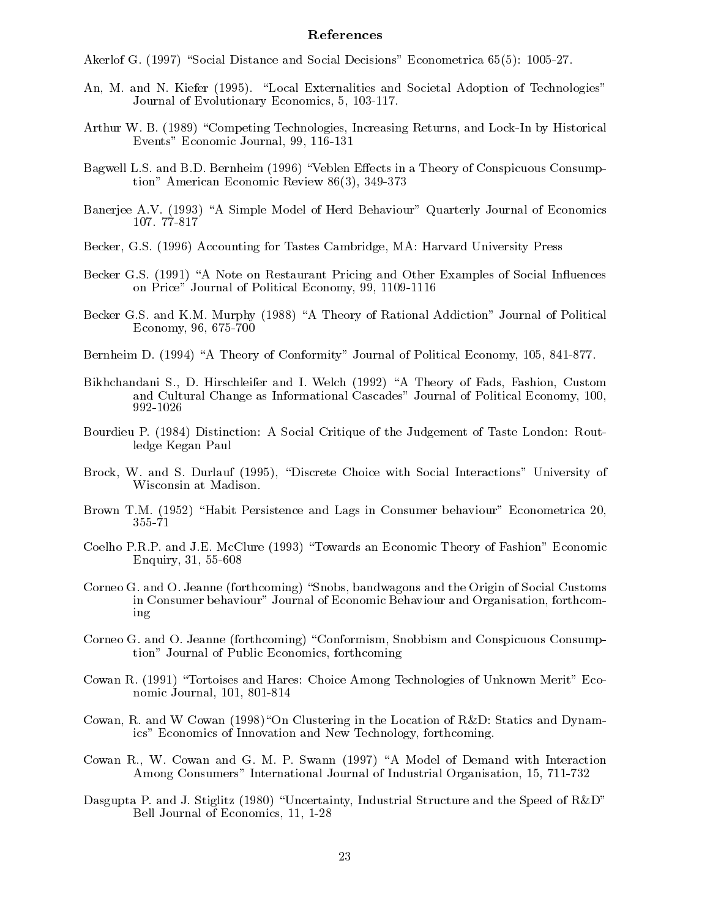## References

Akerlof G. (1997) "Social Distance and Social Decisions" Econometrica 65(5): 1005-27.

- An, M. and N. Kiefer (1995). "Local Externalities and Societal Adoption of Technologies" Journal of Evolutionary Economics, 5, 103-117.
- Arthur W. B. (1989) "Competing Technologies, Increasing Returns, and Lock-In by Historical Events" Economic Journal, 99, 116-131
- Bagwell L.S. and B.D. Bernheim (1996) "Veblen Effects in a Theory of Conspicuous Consumption" American Economic Review 86(3), 349-373
- Banerjee A.V. (1993) "A Simple Model of Herd Behaviour" Quarterly Journal of Economics 107. 77-817
- Becker, G.S. (1996) Accounting for Tastes Cambridge, MA: Harvard University Press
- Becker G.S. (1991) "A Note on Restaurant Pricing and Other Examples of Social Influences on Price" Journal of Political Economy, 99, 1109-1116
- Becker G.S. and K.M. Murphy (1988) "A Theory of Rational Addiction" Journal of Political Economy, 96, 675-700
- Bernheim D. (1994) "A Theory of Conformity" Journal of Political Economy, 105, 841-877.
- Bikhchandani S., D. Hirschleifer and I. Welch (1992) "A Theory of Fads, Fashion, Custom and Cultural Change as Informational Cascades" Journal of Political Economy, 100, 992-1026
- Bourdieu P. (1984) Distinction: A Social Critique of the Judgement of Taste London: Routledge Kegan Paul
- Brock, W. and S. Durlauf (1995), "Discrete Choice with Social Interactions" University of Wisconsin at Madison.
- Brown T.M. (1952) "Habit Persistence and Lags in Consumer behaviour" Econometrica 20, 355-71
- Coelho P.R.P. and J.E. McClure (1993) "Towards an Economic Theory of Fashion" Economic Enquiry, 31, 55-608
- Corneo G. and O. Jeanne (forthcoming) "Snobs, bandwagons and the Origin of Social Customs in Consumer behaviour" Journal of Economic Behaviour and Organisation, forthcoming
- Corneo G. and O. Jeanne (forthcoming) "Conformism, Snobbism and Conspicuous Consumption" Journal of Public Economics, forthcoming
- Cowan R. (1991) "Tortoises and Hares: Choice Among Technologies of Unknown Merit" Economic Journal, 101, 801-814
- Cowan, R. and W Cowan (1998)"On Clustering in the Location of R&D: Statics and Dynamics" Economics of Innovation and New Technology, forthcoming.
- Cowan R., W. Cowan and G. M. P. Swann (1997) "A Model of Demand with Interaction Among Consumers" International Journal of Industrial Organisation, 15, 711-732
- Dasgupta P. and J. Stiglitz (1980) "Uncertainty, Industrial Structure and the Speed of  $R&D$ " Bell Journal of Economics, 11, 1-28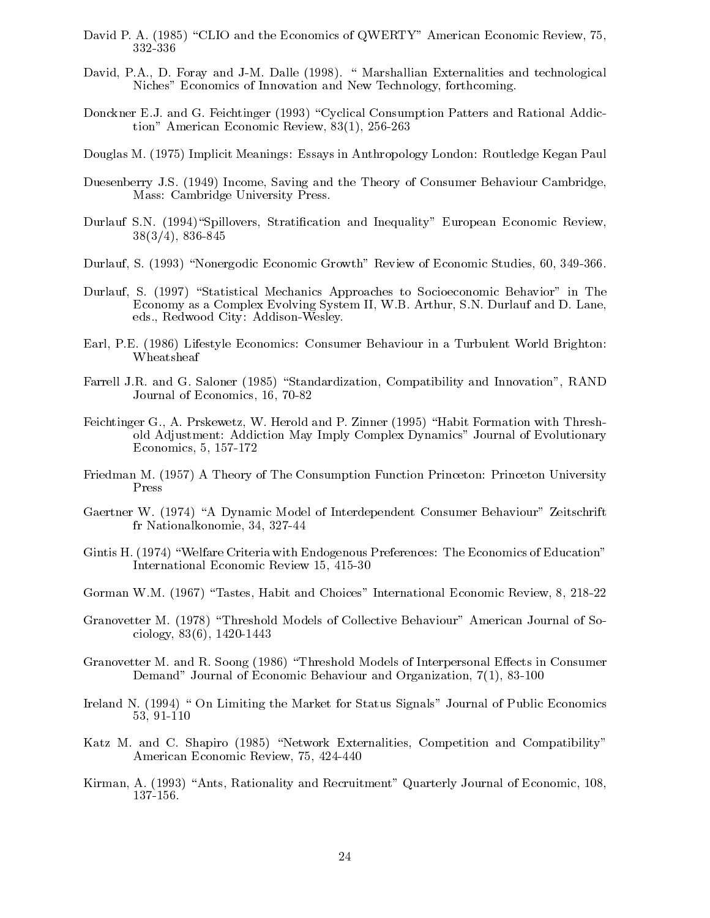- David P. A. (1985) "CLIO and the Economics of QWERTY" American Economic Review, 75,
- David, P.A., D. Foray and J-M. Dalle (1998). " Marshallian Externalities and technological Niches" Economics of Innovation and New Technology, forthcoming.
- Donckner E.J. and G. Feichtinger (1993) "Cyclical Consumption Patters and Rational Addiction" American Economic Review, 83(1), 256-263
- Douglas M. (1975) Implicit Meanings: Essays in Anthropology London: Routledge Kegan Paul
- Duesenberry J.S. (1949) Income, Saving and the Theory of Consumer Behaviour Cambridge, Mass: Cambridge University Press.
- Durlauf S.N. (1994)"Spillovers, Stratification and Inequality" European Economic Review, 38(3/4), 836-845
- Durlauf, S. (1993) "Nonergodic Economic Growth" Review of Economic Studies, 60, 349-366.
- Durlauf, S. (1997) "Statistical Mechanics Approaches to Socioeconomic Behavior" in The Economy as a Complex Evolving System II, W.B. Arthur, S.N. Durlauf and D. Lane, eds., Redwood City: Addison-Wesley.
- Earl, P.E. (1986) Lifestyle Economics: Consumer Behaviour in a Turbulent World Brighton: Wheatsheaf
- Farrell J.R. and G. Saloner (1985) "Standardization, Compatibility and Innovation", RAND Journal of Economics, 16, 70-82
- Feichtinger G., A. Prskewetz, W. Herold and P. Zinner (1995) "Habit Formation with Threshold Adjustment: Addiction May Imply Complex Dynamics" Journal of Evolutionary Economics, 5, 157-172
- Friedman M. (1957) A Theory of The Consumption Function Princeton: Princeton University Press
- Gaertner W. (1974) "A Dynamic Model of Interdependent Consumer Behaviour" Zeitschrift fr Nationalkonomie, 34, 327-44
- Gintis H. (1974) "Welfare Criteria with Endogenous Preferences: The Economics of Education" International Economic Review 15, 415-30
- Gorman W.M. (1967) "Tastes, Habit and Choices" International Economic Review, 8, 218-22
- Granovetter M. (1978) "Threshold Models of Collective Behaviour" American Journal of Sociology, 83(6), 1420-1443
- Granovetter M. and R. Soong (1986) "Threshold Models of Interpersonal Effects in Consumer Demand" Journal of Economic Behaviour and Organization, 7(1), 83-100
- Ireland N. (1994) " On Limiting the Market for Status Signals" Journal of Public Economics 53.91-110 33, 91-110
- Katz M. and C. Shapiro (1985) "Network Externalities, Competition and Compatibility" American Economic Review, 75, 424-440
- Kirman, A. (1993) "Ants, Rationality and Recruitment" Quarterly Journal of Economic, 108, 137-156.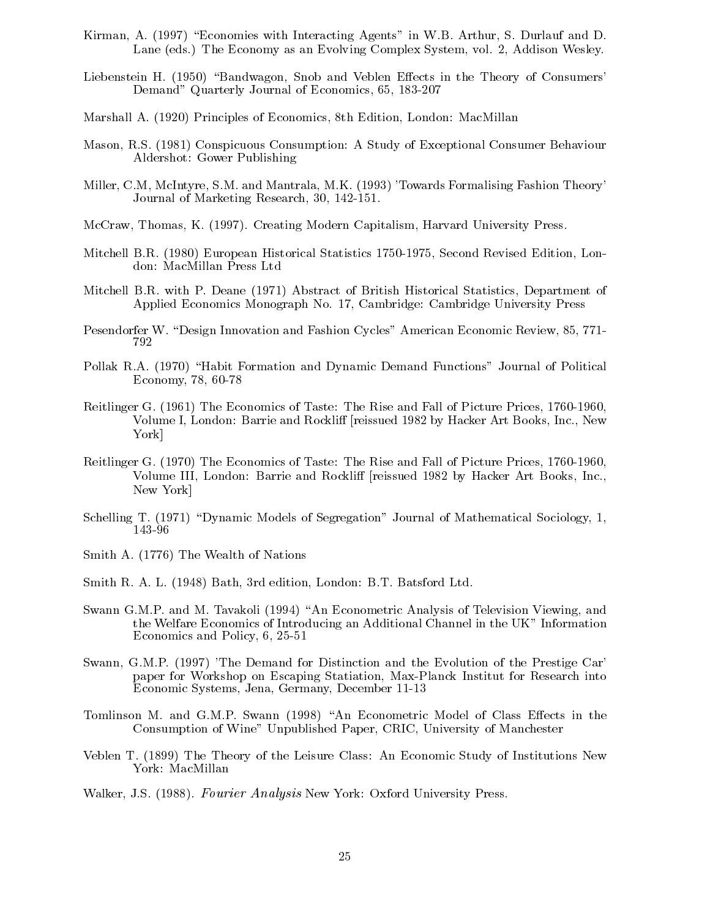- Kirman, A. (1997) "Economies with Interacting Agents" in W.B. Arthur, S. Durlauf and D. Lane (eds.) The Economy as an Evolving Complex System, vol. 2, Addison Wesley.
- Liebenstein H. (1950) "Bandwagon, Snob and Veblen Effects in the Theory of Consumers' Demand" Quarterly Journal of Economics, 65, 183-207
- Marshall A. (1920) Principles of Economics, 8th Edition, London: MacMillan
- Mason, R.S. (1981) Conspicuous Consumption: A Study of Exceptional Consumer Behaviour Aldershot: Gower Publishing
- Miller, C.M, McIntyre, S.M. and Mantrala, M.K. (1993) 'Towards Formalising Fashion Theory' Journal of Marketing Research, 30, 142-151.
- McCraw, Thomas, K. (1997). Creating Modern Capitalism, Harvard University Press.
- Mitchell B.R. (1980) European Historical Statistics 1750-1975, Second Revised Edition, London: MacMillan Press Ltd
- Mitchell B.R. with P. Deane (1971) Abstract of British Historical Statistics, Department of Applied Economics Monograph No. 17, Cambridge: Cambridge University Press
- Pesendorfer W. "Design Innovation and Fashion Cycles" American Economic Review, 85, 771-792
- Pollak R.A. (1970) "Habit Formation and Dynamic Demand Functions" Journal of Political Economy, 78, 60-78
- Reitlinger G. (1961) The Economics of Taste: The Rise and Fall of Picture Prices, 1760-1960, Volume I, London: Barrie and Rockliff [reissued 1982 by Hacker Art Books, Inc., New York]
- Reitlinger G. (1970) The Economics of Taste: The Rise and Fall of Picture Prices, 1760-1960, Volume III, London: Barrie and Rockliff [reissued 1982 by Hacker Art Books, Inc., New York]
- Schelling T. (1971) "Dynamic Models of Segregation" Journal of Mathematical Sociology, 1, 143-96
- Smith A. (1776) The Wealth of Nations
- Smith R. A. L. (1948) Bath, 3rd edition, London: B.T. Batsford Ltd.
- Swann G.M.P. and M. Tavakoli (1994) "An Econometric Analysis of Television Viewing, and the Welfare Economics of Introducing an Additional Channel in the UK" Information Economics and Policy, 6, 25-51
- Swann, G.M.P. (1997) 'The Demand for Distinction and the Evolution of the Prestige Car' paper for Workshop on Escaping Statiation, Max-Planck Institut for Research into Economic Systems, Jena, Germany, December 11-13
- Tomlinson M. and G.M.P. Swann (1998) "An Econometric Model of Class Effects in the Consumption of Wine" Unpublished Paper, CRIC, University of Manchester
- Veblen T. (1899) The Theory of the Leisure Class: An Economic Study of Institutions New York: MacMillan
- Walker, J.S. (1988). Fourier Analysis New York: Oxford University Press.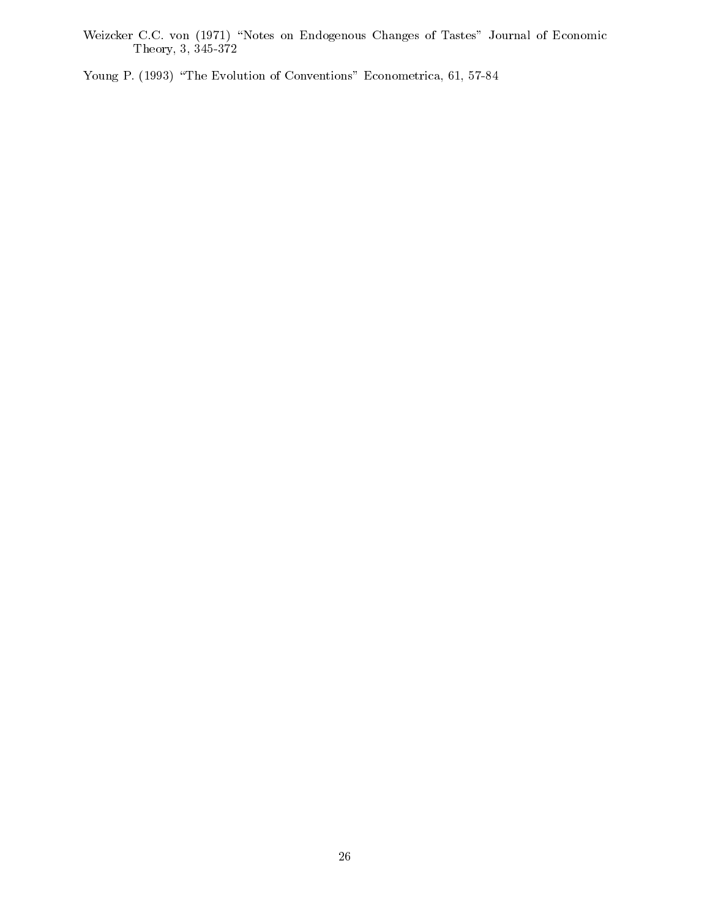Weizcker C.C. von (1971) \Notes on Endogenous Changes of Tastes" Journal of Economic The results of the state  $\mathcal{S}$  and  $\mathcal{S}$  345-372. In the state  $\mathcal{S}$ 

Young P. (1993) "The Evolution of Conventions" Econometrica, 61, 57-84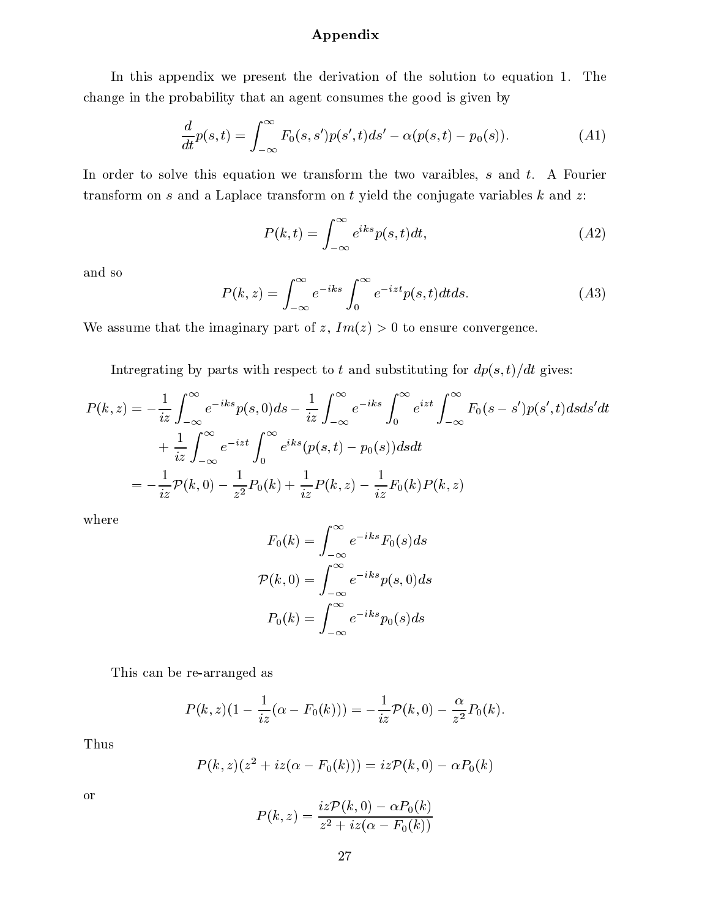# Appendix

In this appendix we present the derivation of the solution to equation 1. The change in the probability that an agent consumes the good is given by

$$
\frac{d}{dt}p(s,t) = \int_{-\infty}^{\infty} F_0(s,s')p(s',t)ds' - \alpha(p(s,t) - p_0(s)).
$$
\n(A1)

In order to solve this equation we transform the two varaibles,  $s$  and  $t$ . A Fourier transform on  $s$  and a Laplace transform on  $t$  yield the conjugate variables  $k$  and  $z$ :

$$
P(k,t) = \int_{-\infty}^{\infty} e^{iks} p(s,t) dt,
$$
 (A2)

and so

$$
P(k, z) = \int_{-\infty}^{\infty} e^{-iks} \int_{0}^{\infty} e^{-izt} p(s, t) dt ds.
$$
 (A3)

We assume that the imaginary part of z,  $Im(z) > 0$  to ensure convergence.

Intregrating by parts with respect to t and substituting for  $dp(s, t)/dt$  gives:

$$
P(k,z) = -\frac{1}{iz} \int_{-\infty}^{\infty} e^{-iks} p(s,0) ds - \frac{1}{iz} \int_{-\infty}^{\infty} e^{-iks} \int_{0}^{\infty} e^{izt} \int_{-\infty}^{\infty} F_0(s-s') p(s',t) ds ds' dt
$$
  
+ 
$$
\frac{1}{iz} \int_{-\infty}^{\infty} e^{-izt} \int_{0}^{\infty} e^{iks} (p(s,t) - p_0(s)) ds dt
$$
  
= 
$$
-\frac{1}{iz} \mathcal{P}(k,0) - \frac{1}{z^2} P_0(k) + \frac{1}{iz} P(k,z) - \frac{1}{iz} F_0(k) P(k,z)
$$

where

$$
F_0(k) = \int_{-\infty}^{\infty} e^{-iks} F_0(s) ds
$$

$$
\mathcal{P}(k, 0) = \int_{-\infty}^{\infty} e^{-iks} p(s, 0) ds
$$

$$
P_0(k) = \int_{-\infty}^{\infty} e^{-iks} p_0(s) ds
$$

This can be re-arranged as

$$
P(k, z)(1 - \frac{1}{iz}(\alpha - F_0(k))) = -\frac{1}{iz}\mathcal{P}(k, 0) - \frac{\alpha}{z^2}P_0(k).
$$

Thus

$$
P(k, z)(z2 + iz(\alpha - F0(k))) = izP(k, 0) - \alpha P0(k)
$$

or

$$
P(k,z)=\frac{iz\mathcal{P}(k,0)-\alpha P_0(k)}{z^2+iz(\alpha-F_0(k))}
$$